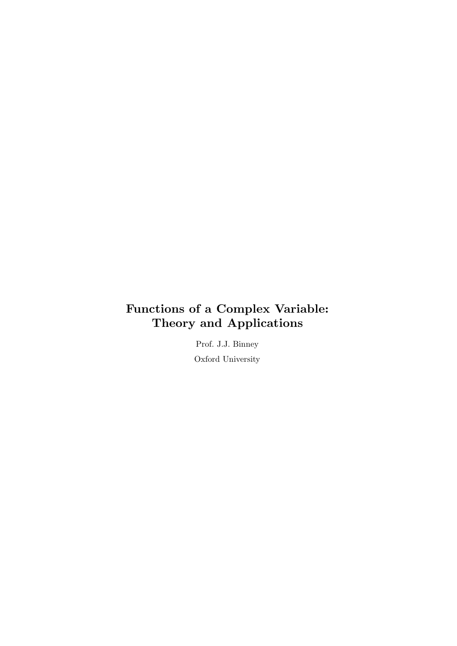# Functions of a Complex Variable: Theory and Applications

Prof. J.J. Binney Oxford University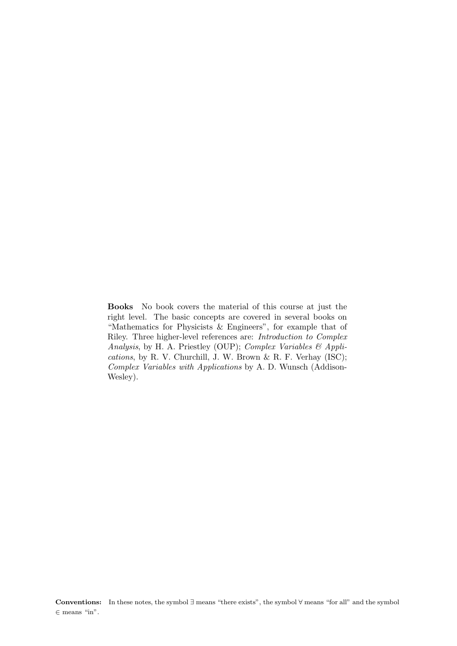Books No book covers the material of this course at just the right level. The basic concepts are covered in several books on "Mathematics for Physicists & Engineers", for example that of Riley. Three higher-level references are: Introduction to Complex Analysis, by H. A. Priestley (OUP); Complex Variables & Applications, by R. V. Churchill, J. W. Brown & R. F. Verhay (ISC); Complex Variables with Applications by A. D. Wunsch (Addison-Wesley).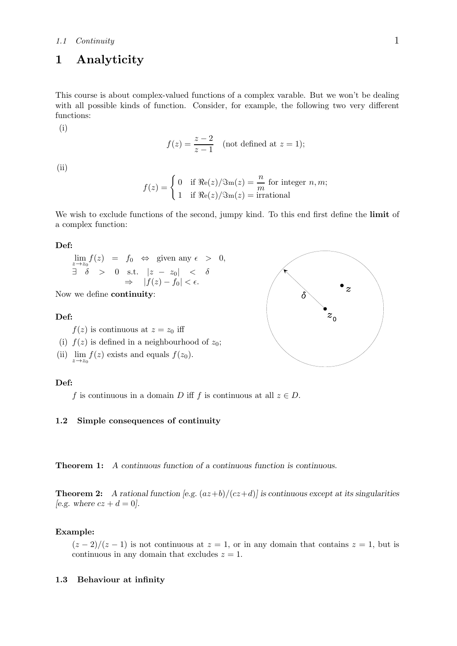## 1.1 Continuity 1

## 1 Analyticity

This course is about complex-valued functions of a complex varable. But we won't be dealing with all possible kinds of function. Consider, for example, the following two very different functions:

(i)

$$
f(z) = \frac{z-2}{z-1}
$$
 (not defined at  $z = 1$ );

(ii)

$$
f(z) = \begin{cases} 0 & \text{if } \Re(e(z)/\Im(m(z)) = \frac{n}{m} \text{ for integer } n, m; \\ 1 & \text{if } \Re(e(z)/\Im(m(z)) = \text{irrational} \end{cases}
$$

We wish to exclude functions of the second, jumpy kind. To this end first define the **limit** of a complex function:

#### Def:

$$
\lim_{z \to z_0} f(z) = f_0 \Leftrightarrow \text{ given any } \epsilon > 0,
$$
  
\n
$$
\exists \delta > 0 \text{ s.t. } |z - z_0| < \delta
$$
  
\n
$$
\Rightarrow |f(z) - f_0| < \epsilon.
$$

Now we define continuity:

## Def:

 $f(z)$  is continuous at  $z = z_0$  iff

- (i)  $f(z)$  is defined in a neighbourhood of  $z_0$ ;
- (ii)  $\lim_{z \to z_0} f(z)$  exists and equals  $f(z_0)$ .

## Def:

f is continuous in a domain D iff f is continuous at all  $z \in D$ .

## 1.2 Simple consequences of continuity

Theorem 1: A continuous function of a continuous function is continuous.

**Theorem 2:** A rational function [e.g.  $(az+b)/(cz+d)$ ] is continuous except at its singularities [e.g. where  $cz + d = 0$ ].

## Example:

 $(z-2)/(z-1)$  is not continuous at  $z=1$ , or in any domain that contains  $z=1$ , but is continuous in any domain that excludes  $z = 1$ .

## 1.3 Behaviour at infinity

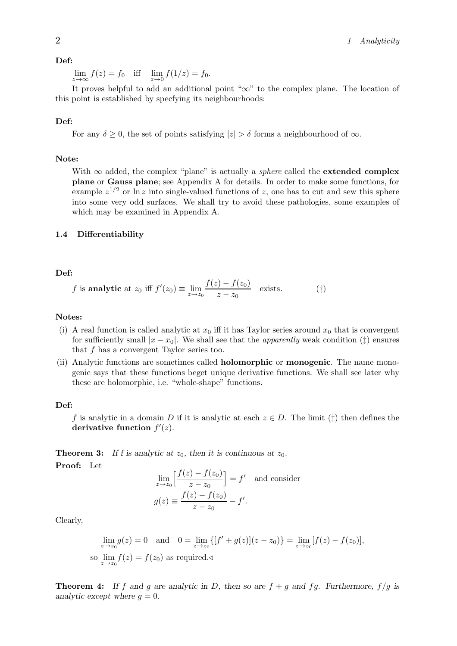## Def:

 $\lim_{z \to \infty} f(z) = f_0$  iff  $\lim_{z \to 0} f(1/z) = f_0$ .

It proves helpful to add an additional point "∞" to the complex plane. The location of this point is established by specfying its neighbourhoods:

## Def:

For any  $\delta \geq 0$ , the set of points satisfying  $|z| > \delta$  forms a neighbourhood of  $\infty$ .

## Note:

With  $\infty$  added, the complex "plane" is actually a *sphere* called the **extended complex** plane or Gauss plane; see Appendix A for details. In order to make some functions, for example  $z^{1/2}$  or  $\ln z$  into single-valued functions of z, one has to cut and sew this sphere into some very odd surfaces. We shall try to avoid these pathologies, some examples of which may be examined in Appendix A.

#### 1.4 Differentiability

## Def:

$$
f \text{ is analytic at } z_0 \text{ iff } f'(z_0) \equiv \lim_{z \to z_0} \frac{f(z) - f(z_0)}{z - z_0} \quad \text{exists.} \tag{1}
$$

## Notes:

- (i) A real function is called analytic at  $x_0$  iff it has Taylor series around  $x_0$  that is convergent for sufficiently small  $|x - x_0|$ . We shall see that the *apparently* weak condition ( $\ddagger$ ) ensures that f has a convergent Taylor series too.
- (ii) Analytic functions are sometimes called holomorphic or monogenic. The name monogenic says that these functions beget unique derivative functions. We shall see later why these are holomorphic, i.e. "whole-shape" functions.

## Def:

f is analytic in a domain D if it is analytic at each  $z \in D$ . The limit ( $\ddagger$ ) then defines the derivative function  $f'(z)$ .

**Theorem 3:** If f is analytic at  $z_0$ , then it is continuous at  $z_0$ . Proof: Let

$$
\lim_{z \to z_0} \left[ \frac{f(z) - f(z_0)}{z - z_0} \right] = f' \text{ and consider}
$$

$$
g(z) \equiv \frac{f(z) - f(z_0)}{z - z_0} - f'.
$$

Clearly,

$$
\lim_{z \to z_0} g(z) = 0 \text{ and } 0 = \lim_{z \to z_0} \{ [f' + g(z)](z - z_0) \} = \lim_{z \to z_0} [f(z) - f(z_0)],
$$
  
so  $\lim_{z \to z_0} f(z) = f(z_0)$  as required.

**Theorem 4:** If f and g are analytic in D, then so are  $f + g$  and fg. Furthermore,  $f/g$  is analytic except where  $q = 0$ .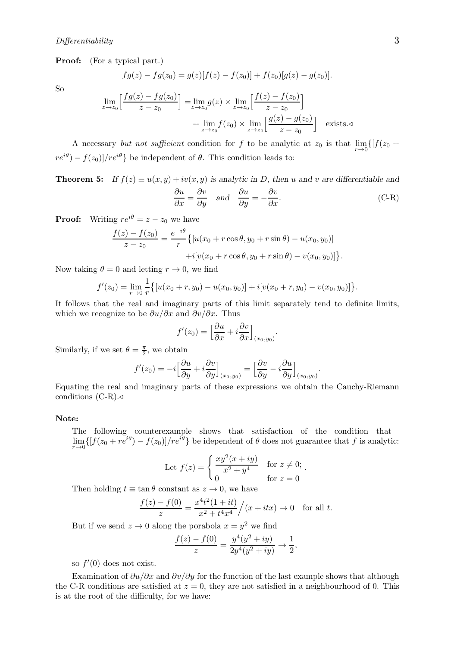Proof: (For a typical part.)

$$
fg(z) - fg(z0) = g(z)[f(z) - f(z0)] + f(z0)[g(z) - g(z0)].
$$

So

$$
\lim_{z \to z_0} \left[ \frac{fg(z) - fg(z_0)}{z - z_0} \right] = \lim_{z \to z_0} g(z) \times \lim_{z \to z_0} \left[ \frac{f(z) - f(z_0)}{z - z_0} \right] + \lim_{z \to z_0} f(z_0) \times \lim_{z \to z_0} \left[ \frac{g(z) - g(z_0)}{z - z_0} \right] \quad \text{exists. } \triangleleft
$$

A necessary but not sufficient condition for f to be analytic at  $z_0$  is that  $\lim_{r\to 0} \{[f(z_0 + \ldots + z_0)]\}$  $re^{i\theta}$ ) –  $f(z_0)/re^{i\theta}$ } be independent of  $\theta$ . This condition leads to:

**Theorem 5:** If  $f(z) \equiv u(x, y) + iv(x, y)$  is analytic in D, then u and v are differentiable and  $\frac{\partial u}{\partial x} = \frac{\partial v}{\partial y}$  and  $\frac{\partial u}{\partial y}$  $\partial v$ 

$$
\frac{\partial u}{\partial x} = \frac{\partial v}{\partial y} \quad \text{and} \quad \frac{\partial u}{\partial y} = -\frac{\partial v}{\partial x}.
$$
 (C-R)

**Proof:** Writing  $re^{i\theta} = z - z_0$  we have

$$
\frac{f(z) - f(z_0)}{z - z_0} = \frac{e^{-i\theta}}{r} \{ [u(x_0 + r\cos\theta, y_0 + r\sin\theta) - u(x_0, y_0)] + i[v(x_0 + r\cos\theta, y_0 + r\sin\theta) - v(x_0, y_0)] \}.
$$

Now taking  $\theta = 0$  and letting  $r \to 0$ , we find

$$
f'(z_0) = \lim_{r \to 0} \frac{1}{r} \{ [u(x_0 + r, y_0) - u(x_0, y_0)] + i[v(x_0 + r, y_0) - v(x_0, y_0)] \}.
$$

It follows that the real and imaginary parts of this limit separately tend to definite limits, which we recognize to be  $\partial u/\partial x$  and  $\partial v/\partial x$ . Thus

$$
f'(z_0) = \left[\frac{\partial u}{\partial x} + i \frac{\partial v}{\partial x}\right]_{(x_0, y_0)}.
$$

Similarly, if we set  $\theta = \frac{\pi}{2}$ , we obtain

$$
f'(z_0) = -i \left[ \frac{\partial u}{\partial y} + i \frac{\partial v}{\partial y} \right]_{(x_0, y_0)} = \left[ \frac{\partial v}{\partial y} - i \frac{\partial u}{\partial y} \right]_{(x_0, y_0)}
$$

.

Equating the real and imaginary parts of these expressions we obtain the Cauchy-Riemann conditions  $(C-R)$ .

## Note:

The following counterexample shows that satisfaction of the condition that  $\lim_{r\to 0} \{ [f(z_0 + re^{i\theta}) - f(z_0)]/re^{i\theta} \}$  be idependent of  $\theta$  does not guarantee that f is analytic:

Let 
$$
f(z) = \begin{cases} \frac{xy^2(x+iy)}{x^2+y^4} & \text{for } z \neq 0; \\ 0 & \text{for } z = 0 \end{cases}
$$
.

Then holding  $t \equiv \tan \theta$  constant as  $z \to 0$ , we have

$$
\frac{f(z) - f(0)}{z} = \frac{x^4 t^2 (1 + it)}{x^2 + t^4 x^4} / (x + itx) \to 0 \quad \text{for all } t.
$$

But if we send  $z \to 0$  along the porabola  $x = y^2$  we find

$$
\frac{f(z) - f(0)}{z} = \frac{y^4(y^2 + iy)}{2y^4(y^2 + iy)} \to \frac{1}{2},
$$

so  $f'(0)$  does not exist.

Examination of  $\partial u/\partial x$  and  $\partial v/\partial y$  for the function of the last example shows that although the C-R conditions are satisfied at  $z = 0$ , they are not satisfied in a neighbourhood of 0. This is at the root of the difficulty, for we have: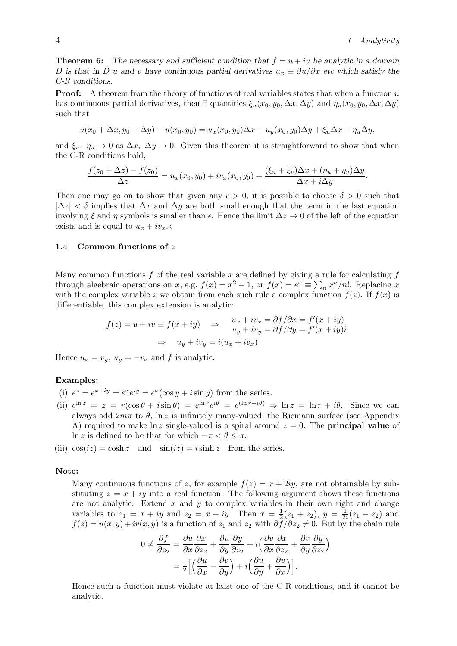**Theorem 6:** The necessary and sufficient condition that  $f = u + iv$  be analytic in a domain D is that in D u and v have continuous partial derivatives  $u_x \equiv \partial u/\partial x$  etc which satisfy the C-R conditions.

**Proof:** A theorem from the theory of functions of real variables states that when a function u has continuous partial derivatives, then  $\exists$  quantities  $\xi_u(x_0, y_0, \Delta x, \Delta y)$  and  $\eta_u(x_0, y_0, \Delta x, \Delta y)$ such that

$$
u(x_0 + \Delta x, y_0 + \Delta y) - u(x_0, y_0) = u_x(x_0, y_0)\Delta x + u_y(x_0, y_0)\Delta y + \xi_u \Delta x + \eta_u \Delta y,
$$

and  $\xi_u$ ,  $\eta_u \to 0$  as  $\Delta x$ ,  $\Delta y \to 0$ . Given this theorem it is straightforward to show that when the C-R conditions hold,

$$
\frac{f(z_0 + \Delta z) - f(z_0)}{\Delta z} = u_x(x_0, y_0) + iv_x(x_0, y_0) + \frac{(\xi_u + \xi_v)\Delta x + (\eta_u + \eta_v)\Delta y}{\Delta x + i\Delta y}.
$$

Then one may go on to show that given any  $\epsilon > 0$ , it is possible to choose  $\delta > 0$  such that  $|\Delta z| < \delta$  implies that  $\Delta x$  and  $\Delta y$  are both small enough that the term in the last equation involving  $\xi$  and  $\eta$  symbols is smaller than  $\epsilon$ . Hence the limit  $\Delta z \to 0$  of the left of the equation exists and is equal to  $u_x + iv_x \triangleleft$ 

## 1.4 Common functions of z

Many common functions  $f$  of the real variable  $x$  are defined by giving a rule for calculating  $f$ through algebraic operations on x, e.g.  $f(x) = x^2 - 1$ , or  $f(x) = e^x \equiv \sum_n x^n/n!$ . Replacing x with the complex variable z we obtain from each such rule a complex function  $f(z)$ . If  $f(x)$  is differentiable, this complex extension is analytic:

$$
f(z) = u + iv \equiv f(x + iy) \Rightarrow \begin{aligned} u_x + iv_x &= \frac{\partial f}{\partial x} = f'(x + iy) \\ u_y + iv_y &= \frac{\partial f}{\partial y} = f'(x + iy)i \\ \Rightarrow u_y + iv_y &= i(u_x + iv_x) \end{aligned}
$$

Hence  $u_x = v_y$ ,  $u_y = -v_x$  and f is analytic.

## Examples:

- (i)  $e^z = e^{x+iy} = e^x e^{iy} = e^x (\cos y + i \sin y)$  from the series.
- (ii)  $e^{\ln z} = z = r(\cos \theta + i \sin \theta) = e^{\ln r} e^{i\theta} = e^{(\ln r + i\theta)} \Rightarrow \ln z = \ln r + i\theta$ . Since we can always add  $2m\pi$  to  $\theta$ , ln z is infinitely many-valued; the Riemann surface (see Appendix A) required to make  $\ln z$  single-valued is a spiral around  $z = 0$ . The **principal value** of ln z is defined to be that for which  $-\pi < \theta \leq \pi$ .

(iii)  $\cos(iz) = \cosh z$  and  $\sin(iz) = i \sinh z$  from the series.

#### Note:

Many continuous functions of z, for example  $f(z) = x + 2iy$ , are not obtainable by substituting  $z = x + iy$  into a real function. The following argument shows these functions are not analytic. Extend  $x$  and  $y$  to complex variables in their own right and change variables to  $z_1 = x + iy$  and  $z_2 = x - iy$ . Then  $x = \frac{1}{2}$  $rac{1}{2}(z_1 + z_2), y = \frac{1}{2i}$  $\frac{1}{2i}(z_1 - z_2)$  and  $f(z) = u(x, y) + iv(x, y)$  is a function of  $z_1$  and  $z_2$  with  $\partial f / \partial z_2 \neq 0$ . But by the chain rule

$$
0 \neq \frac{\partial f}{\partial z_2} = \frac{\partial u}{\partial x} \frac{\partial x}{\partial z_2} + \frac{\partial u}{\partial y} \frac{\partial y}{\partial z_2} + i \left( \frac{\partial v}{\partial x} \frac{\partial x}{\partial z_2} + \frac{\partial v}{\partial y} \frac{\partial y}{\partial z_2} \right)
$$
  
=  $\frac{1}{2} \left[ \left( \frac{\partial u}{\partial x} - \frac{\partial v}{\partial y} \right) + i \left( \frac{\partial u}{\partial y} + \frac{\partial v}{\partial x} \right) \right].$ 

Hence such a function must violate at least one of the C-R conditions, and it cannot be analytic.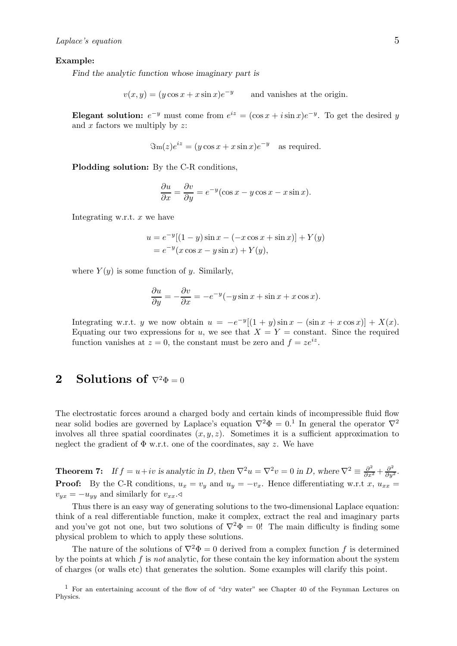## Example:

Find the analytic function whose imaginary part is

 $v(x, y) = (y \cos x + x \sin x)e^{-y}$ and vanishes at the origin.

Elegant solution:  $e^{-y}$  must come from  $e^{iz} = (\cos x + i \sin x)e^{-y}$ . To get the desired y and  $x$  factors we multiply by  $z$ :

$$
\Im (z)e^{iz} = (y\cos x + x\sin x)e^{-y}
$$
 as required.

Plodding solution: By the C-R conditions,

$$
\frac{\partial u}{\partial x} = \frac{\partial v}{\partial y} = e^{-y}(\cos x - y\cos x - x\sin x).
$$

Integrating w.r.t.  $x$  we have

$$
u = e^{-y}[(1 - y)\sin x - (-x\cos x + \sin x)] + Y(y)
$$
  
=  $e^{-y}(x\cos x - y\sin x) + Y(y)$ ,

where  $Y(y)$  is some function of y. Similarly,

$$
\frac{\partial u}{\partial y} = -\frac{\partial v}{\partial x} = -e^{-y}(-y\sin x + \sin x + x\cos x).
$$

Integrating w.r.t. y we now obtain  $u = -e^{-y}[(1 + y)\sin x - (\sin x + x\cos x)] + X(x)$ . Equating our two expressions for u, we see that  $X = Y = constant$ . Since the required function vanishes at  $z = 0$ , the constant must be zero and  $f = ze^{iz}$ .

## 2 Solutions of  $\nabla^2 \Phi = 0$

The electrostatic forces around a charged body and certain kinds of incompressible fluid flow near solid bodies are governed by Laplace's equation  $\nabla^2 \Phi = 0.1$  In general the operator  $\nabla^2$ involves all three spatial coordinates  $(x, y, z)$ . Sometimes it is a sufficient approximation to neglect the gradient of  $\Phi$  w.r.t. one of the coordinates, say z. We have

**Theorem 7:** If  $f = u + iv$  is analytic in D, then  $\nabla^2 u = \nabla^2 v = 0$  in D, where  $\nabla^2 \equiv \frac{\partial^2}{\partial x^2} + \frac{\partial^2}{\partial y^2}$ . **Proof:** By the C-R conditions,  $u_x = v_y$  and  $u_y = -v_x$ . Hence differentiating w.r.t x,  $u_{xx} =$  $v_{yx} = -u_{yy}$  and similarly for  $v_{xx}$ .

Thus there is an easy way of generating solutions to the two-dimensional Laplace equation: think of a real differentiable function, make it complex, extract the real and imaginary parts and you've got not one, but two solutions of  $\nabla^2 \Phi = 0$ ! The main difficulty is finding some physical problem to which to apply these solutions.

The nature of the solutions of  $\nabla^2 \Phi = 0$  derived from a complex function f is determined by the points at which  $f$  is not analytic, for these contain the key information about the system of charges (or walls etc) that generates the solution. Some examples will clarify this point.

<sup>1</sup> For an entertaining account of the flow of of "dry water" see Chapter 40 of the Feynman Lectures on Physics.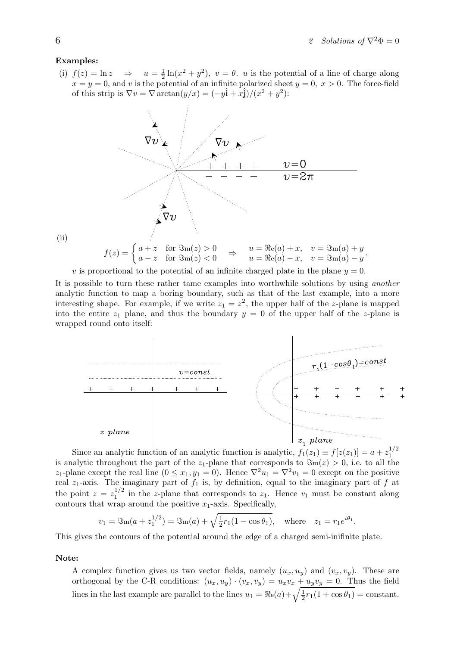## Examples:

(i)  $f(z) = \ln z$ 1  $\frac{1}{2} \ln(x^2 + y^2)$ ,  $v = \theta$ . *u* is the potential of a line of charge along  $x = y = 0$ , and v is the potential of an infinite polarized sheet  $y = 0$ ,  $x > 0$ . The force-field of this strip is  $\nabla v = \nabla \arctan(y/x) = (-y\hat{\mathbf{i}} + x\hat{\mathbf{j}})/(x^2 + y^2)$ :



(ii)

v is proportional to the potential of an infinite charged plate in the plane  $y = 0$ .

It is possible to turn these rather tame examples into worthwhile solutions by using another analytic function to map a boring boundary, such as that of the last example, into a more interesting shape. For example, if we write  $z_1 = z^2$ , the upper half of the z-plane is mapped into the entire  $z_1$  plane, and thus the boundary  $y = 0$  of the upper half of the z-plane is wrapped round onto itself:



Since an analytic function of an analytic function is analytic,  $f_1(z_1) \equiv f[z(z_1)] = a + z_1^{1/2}$ 1 is analytic throughout the part of the  $z_1$ -plane that corresponds to  $\Im (z) > 0$ , i.e. to all the z<sub>1</sub>-plane except the real line  $(0 \le x_1, y_1 = 0)$ . Hence  $\nabla^2 u_1 = \nabla^2 v_1 = 0$  except on the positive real  $z_1$ -axis. The imaginary part of  $f_1$  is, by definition, equal to the imaginary part of f at the point  $z=z_1^{1/2}$  $i_1^{1/2}$  in the z-plane that corresponds to  $z_1$ . Hence  $v_1$  must be constant along contours that wrap around the positive  $x_1$ -axis. Specifically,

$$
v_1 = \Im (a + z_1^{1/2}) = \Im (a) + \sqrt{\frac{1}{2}r_1(1 - \cos \theta_1)},
$$
 where  $z_1 = r_1 e^{i\theta_1}.$ 

This gives the contours of the potential around the edge of a charged semi-inifinite plate.

## Note:

A complex function gives us two vector fields, namely  $(u_x, u_y)$  and  $(v_x, v_y)$ . These are orthogonal by the C-R conditions:  $(u_x, u_y) \cdot (v_x, v_y) = u_x v_x + u_y v_y = 0$ . Thus the field lines in the last example are parallel to the lines  $u_1 = \Re(e_a) + \sqrt{\frac{1}{2}}$  $\frac{1}{2}r_1(1+\cos\theta_1)=\text{constant}.$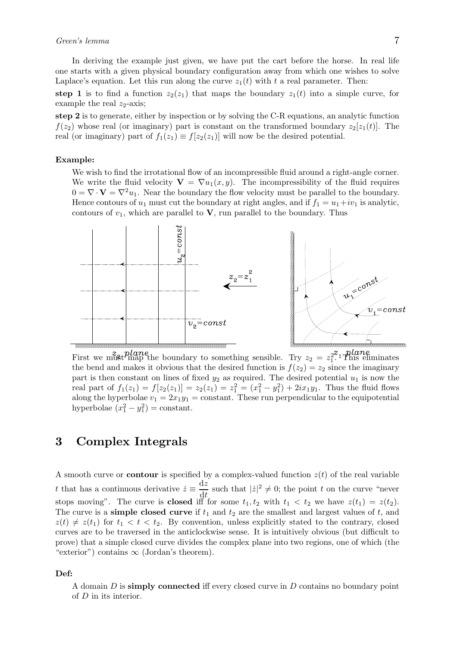In deriving the example just given, we have put the cart before the horse. In real life one starts with a given physical boundary configuration away from which one wishes to solve Laplace's equation. Let this run along the curve  $z_1(t)$  with t a real parameter. Then:

step 1 is to find a function  $z_2(z_1)$  that maps the boundary  $z_1(t)$  into a simple curve, for example the real  $z_2$ -axis;

step 2 is to generate, either by inspection or by solving the C-R equations, an analytic function  $f(z_2)$  whose real (or imaginary) part is constant on the transformed boundary  $z_2[z_1(t)]$ . The real (or imaginary) part of  $f_1(z_1) \equiv f[z_2(z_1)]$  will now be the desired potential.

## Example:

We wish to find the irrotational flow of an incompressible fluid around a right-angle corner. We write the fluid velocity  $\mathbf{V} = \nabla u_1(x, y)$ . The incompressibility of the fluid requires  $0 = \nabla \cdot \mathbf{V} = \nabla^2 u_1$ . Near the boundary the flow velocity must be parallel to the boundary. Hence contours of  $u_1$  must cut the boundary at right angles, and if  $f_1 = u_1 + iv_1$  is analytic, contours of  $v_1$ , which are parallel to  $\bf{V}$ , run parallel to the boundary. Thus



First we must map the boundary to something sensible. Try  $z_2 = z_1^{22}$  This eliminates the bend and makes it obvious that the desired function is  $f(z_2) = z_2$  since the imaginary part is then constant on lines of fixed  $y_2$  as required. The desired potential  $u_1$  is now the real part of  $f_1(z_1) = f[z_2(z_1)] = z_2(z_1) = z_1^2 = (x_1^2 - y_1^2) + 2ix_1y_1$ . Thus the fluid flows along the hyperbolae  $v_1 = 2x_1y_1 = \text{constant}$ . These run perpendicular to the equipotential hyperbolae  $(x_1^2 - y_1^2) = \text{constant}.$ 

## 3 Complex Integrals

A smooth curve or **contour** is specified by a complex-valued function  $z(t)$  of the real variable t that has a continuous derivative  $\dot{z} \equiv \frac{\mathrm{d}z}{\mathrm{d}t}$  $\frac{dz}{dt}$  such that  $|z|^2 \neq 0$ ; the point t on the curve "never" stops moving". The curve is **closed** iff for some  $t_1, t_2$  with  $t_1 < t_2$  we have  $z(t_1) = z(t_2)$ . The curve is a **simple closed curve** if  $t_1$  and  $t_2$  are the smallest and largest values of  $t$ , and  $z(t) \neq z(t_1)$  for  $t_1 < t < t_2$ . By convention, unless explicitly stated to the contrary, closed curves are to be traversed in the anticlockwise sense. It is intuitively obvious (but difficult to prove) that a simple closed curve divides the complex plane into two regions, one of which (the "exterior") contains  $\infty$  (Jordan's theorem).

#### Def:

A domain  $D$  is simply connected iff every closed curve in  $D$  contains no boundary point of D in its interior.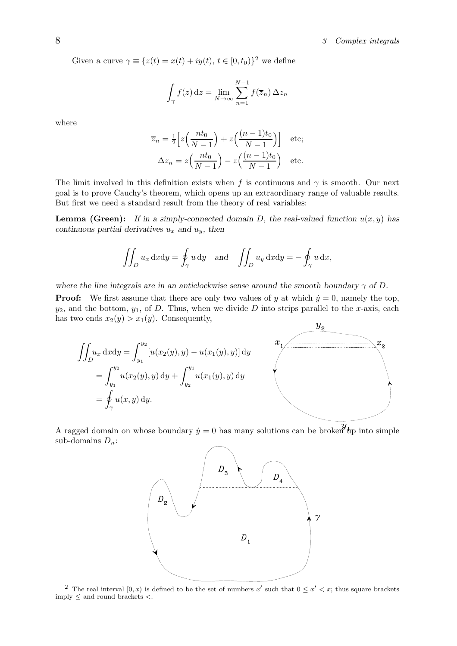Given a curve  $\gamma \equiv \{z(t) = x(t) + iy(t), t \in [0, t_0)\}^2$  we define

$$
\int_{\gamma} f(z) dz = \lim_{N \to \infty} \sum_{n=1}^{N-1} f(\overline{z}_n) \Delta z_n
$$

where

$$
\overline{z}_n = \frac{1}{2} \left[ z \left( \frac{nt_0}{N-1} \right) + z \left( \frac{(n-1)t_0}{N-1} \right) \right] \quad \text{etc};
$$

$$
\Delta z_n = z \left( \frac{nt_0}{N-1} \right) - z \left( \frac{(n-1)t_0}{N-1} \right) \quad \text{etc}.
$$

The limit involved in this definition exists when f is continuous and  $\gamma$  is smooth. Our next goal is to prove Cauchy's theorem, which opens up an extraordinary range of valuable results. But first we need a standard result from the theory of real variables:

**Lemma (Green):** If in a simply-connected domain D, the real-valued function  $u(x, y)$  has continuous partial derivatives  $u_x$  and  $u_y$ , then

$$
\iint_D u_x \, dx \mathrm{d}y = \oint_\gamma u \, \mathrm{d}y \quad \text{and} \quad \iint_D u_y \, dx \mathrm{d}y = -\oint_\gamma u \, \mathrm{d}x,
$$

where the line integrals are in an anticlockwise sense around the smooth boundary  $\gamma$  of D.

**Proof:** We first assume that there are only two values of y at which  $\dot{y} = 0$ , namely the top,  $y_2$ , and the bottom,  $y_1$ , of D. Thus, when we divide D into strips parallel to the x-axis, each has two ends  $x_2(y) > x_1(y)$ . Consequently,



A ragged domain on whose boundary  $\dot{y} = 0$  has many solutions can be broken  $y_{\text{dp}}$  into simple sub-domains  $D_n$ :



<sup>2</sup> The real interval  $[0, x)$  is defined to be the set of numbers x' such that  $0 \leq x' < x$ ; thus square brackets  $imply \leq and round brackets <$ .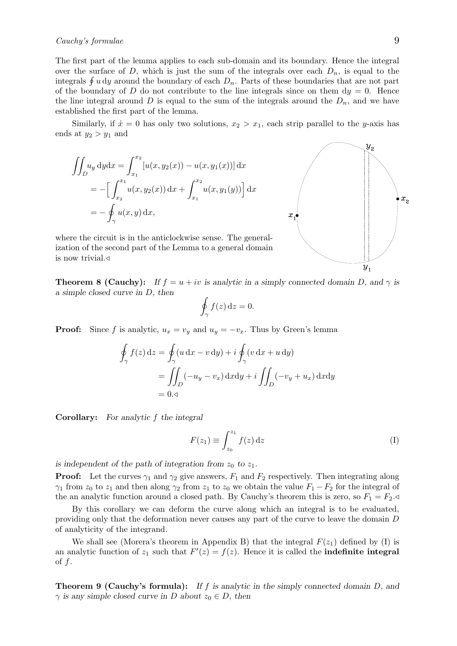## $Cauchy's formulae$  9

The first part of the lemma applies to each sub-domain and its boundary. Hence the integral over the surface of D, which is just the sum of the integrals over each  $D_n$ , is equal to the integrals  $\oint u \, dy$  around the boundary of each  $D_n$ . Parts of these boundaries that are not part of the boundary of D do not contribute to the line integrals since on them  $dy = 0$ . Hence the line integral around D is equal to the sum of the integrals around the  $D_n$ , and we have established the first part of the lemma.

Similarly, if  $\dot{x} = 0$  has only two solutions,  $x_2 > x_1$ , each strip parallel to the y-axis has ends at  $y_2 > y_1$  and

$$
\iint_{D} u_y \, dy \, dx = \int_{x_1}^{x_2} [u(x, y_2(x)) - u(x, y_1(x))] \, dx
$$
  
= 
$$
- \left[ \int_{x_2}^{x_1} u(x, y_2(x)) \, dx + \int_{x_1}^{x_2} u(x, y_1(y)) \right] dx
$$
  
= 
$$
- \oint_{\gamma} u(x, y) \, dx,
$$

where the circuit is in the anticlockwise sense. The generalization of the second part of the Lemma to a general domain is now trivial.⊳

**Theorem 8 (Cauchy):** If  $f = u + iv$  is analytic in a simply connected domain D, and  $\gamma$  is a simple closed curve in D, then

$$
\oint_{\gamma} f(z) \, \mathrm{d}z = 0.
$$

**Proof:** Since f is analytic,  $u_x = v_y$  and  $u_y = -v_x$ . Thus by Green's lemma

$$
\oint_{\gamma} f(z) dz = \oint_{\gamma} (u dx - v dy) + i \oint_{\gamma} (v dx + u dy)
$$
\n
$$
= \iint_{D} (-u_y - v_x) dx dy + i \iint_{D} (-v_y + u_x) dx dy
$$
\n
$$
= 0.4
$$

Corollary: For analytic f the integral

$$
F(z_1) \equiv \int_{z_0}^{z_1} f(z) dz
$$
 (I)

is independent of the path of integration from  $z_0$  to  $z_1$ .

**Proof:** Let the curves  $\gamma_1$  and  $\gamma_2$  give answers,  $F_1$  and  $F_2$  respectively. Then integrating along  $\gamma_1$  from  $z_0$  to  $z_1$  and then along  $\gamma_2$  from  $z_1$  to  $z_0$  we obtain the value  $F_1-F_2$  for the integral of the an analytic function around a closed path. By Cauchy's theorem this is zero, so  $F_1 = F_2 \triangleleft$ 

By this corollary we can deform the curve along which an integral is to be evaluated, providing only that the deformation never causes any part of the curve to leave the domain D of analyticity of the integrand.

We shall see (Morera's theorem in Appendix B) that the integral  $F(z_1)$  defined by (I) is an analytic function of  $z_1$  such that  $F'(z) = f(z)$ . Hence it is called the **indefinite integral** of f.

**Theorem 9 (Cauchy's formula):** If f is analytic in the simply connected domain  $D$ , and  $\gamma$  is any simple closed curve in D about  $z_0 \in D$ , then

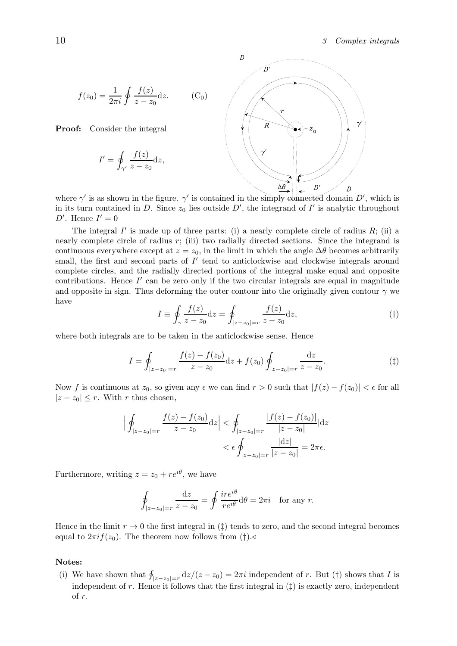$$
f(z_0) = \frac{1}{2\pi i} \oint \frac{f(z)}{z - z_0} dz.
$$
 (C<sub>0</sub>)

Proof: Consider the integral

$$
I' = \oint_{\gamma'} \frac{f(z)}{z - z_0} \mathrm{d}z,
$$



where  $\gamma'$  is as shown in the figure.  $\gamma'$  is contained in the simply-connected domain D', which is in its turn contained in D. Since  $z_0$  lies outside D', the integrand of I' is analytic throughout  $D'$ . Hence  $I' = 0$ 

The integral  $I'$  is made up of three parts: (i) a nearly complete circle of radius  $R$ ; (ii) a nearly complete circle of radius  $r$ ; (iii) two radially directed sections. Since the integrand is continuous everywhere except at  $z = z_0$ , in the limit in which the angle  $\Delta\theta$  becomes arbitrarily small, the first and second parts of  $I'$  tend to anticlockwise and clockwise integrals around complete circles, and the radially directed portions of the integral make equal and opposite contributions. Hence  $I'$  can be zero only if the two circular integrals are equal in magnitude and opposite in sign. Thus deforming the outer contour into the originally given contour  $\gamma$  we have

$$
I \equiv \oint_{\gamma} \frac{f(z)}{z - z_0} dz = \oint_{|z - z_0| = r} \frac{f(z)}{z - z_0} dz,
$$
 (†)

where both integrals are to be taken in the anticlockwise sense. Hence

$$
I = \oint_{|z-z_0|=r} \frac{f(z) - f(z_0)}{z - z_0} dz + f(z_0) \oint_{|z-z_0|=r} \frac{dz}{z - z_0}.
$$
 (†)

Now f is continuous at  $z_0$ , so given any  $\epsilon$  we can find  $r > 0$  such that  $|f(z) - f(z_0)| < \epsilon$  for all  $|z - z_0| \leq r$ . With r thus chosen,

$$
\left| \oint_{|z-z_0|=r} \frac{f(z) - f(z_0)}{z - z_0} dz \right| < \oint_{|z-z_0|=r} \frac{|f(z) - f(z_0)|}{|z - z_0|} |dz|
$$
\n
$$
< \epsilon \oint_{|z-z_0|=r} \frac{|dz|}{|z - z_0|} = 2\pi\epsilon.
$$

Furthermore, writing  $z = z_0 + re^{i\theta}$ , we have

$$
\oint_{|z-z_0|=r} \frac{\mathrm{d}z}{z-z_0} = \oint \frac{ire^{i\theta}}{re^{i\theta}} \mathrm{d}\theta = 2\pi i \quad \text{for any } r.
$$

Hence in the limit  $r \to 0$  the first integral in ( $\ddagger$ ) tends to zero, and the second integral becomes equal to  $2\pi i f(z_0)$ . The theorem now follows from (†).

#### Notes:

(i) We have shown that  $\oint_{|z-z_0|=r} dz/(z-z_0) = 2\pi i$  independent of r. But (†) shows that I is independent of r. Hence it follows that the first integral in  $(\ddagger)$  is exactly zero, independent of r.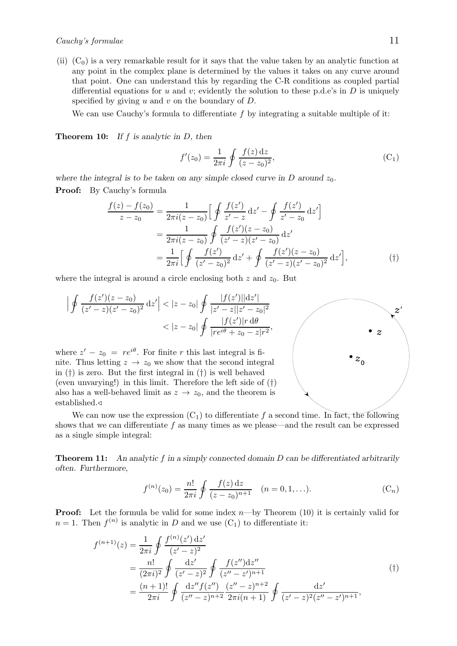established.⊳

(ii)  $(C_0)$  is a very remarkable result for it says that the value taken by an analytic function at any point in the complex plane is determined by the values it takes on any curve around that point. One can understand this by regarding the C-R conditions as coupled partial differential equations for u and v; evidently the solution to these p.d.e's in D is uniquely specified by giving  $u$  and  $v$  on the boundary of  $D$ .

We can use Cauchy's formula to differentiate  $f$  by integrating a suitable multiple of it:

**Theorem 10:** If  $f$  is analytic in  $D$ , then

$$
f'(z_0) = \frac{1}{2\pi i} \oint \frac{f(z) dz}{(z - z_0)^2},
$$
 (C<sub>1</sub>)

where the integral is to be taken on any simple closed curve in D around  $z_0$ . Proof: By Cauchy's formula

$$
\frac{f(z) - f(z_0)}{z - z_0} = \frac{1}{2\pi i (z - z_0)} \Big[ \oint \frac{f(z')}{z' - z} dz' - \oint \frac{f(z')}{z' - z_0} dz' \Big]
$$

$$
= \frac{1}{2\pi i (z - z_0)} \oint \frac{f(z')(z - z_0)}{(z' - z)(z' - z_0)} dz'
$$

$$
= \frac{1}{2\pi i} \Big[ \oint \frac{f(z')}{(z' - z_0)^2} dz' + \oint \frac{f(z')(z - z_0)}{(z' - z)(z' - z_0)^2} dz' \Big], \tag{\dagger}
$$

where the integral is around a circle enclosing both  $z$  and  $z_0$ . But

also has a well-behaved limit as  $z \to z_0$ , and the theorem is

$$
\left| \oint \frac{f(z')(z-z_0)}{(z'-z)(z'-z_0)^2} dz' \right| < |z-z_0| \oint \frac{|f(z')||dz'|}{|z'-z||z'-z_0|^2}
$$
\n
$$
\left| \oint \frac{|f(z')|r d\theta}{|re^{i\theta} + z_0 - z|r^2}, \right|
$$
\nwhere  $z'-z_0 = re^{i\theta}$ . For finite  $r$  this last integral is finite. Thus letting  $z \to z_0$  we show that the second integral in (†) is zero. But the first integral in (†) is well behaved (even unwarying!) in this limit. Therefore the left side of (†)

We can now use the expression  $(C_1)$  to differentiate f a second time. In fact, the following shows that we can differentiate  $f$  as many times as we please—and the result can be expressed as a single simple integral:

Theorem 11: An analytic f in a simply connected domain D can be differentiated arbitrarily often. Furthermore,

$$
f^{(n)}(z_0) = \frac{n!}{2\pi i} \oint \frac{f(z) dz}{(z - z_0)^{n+1}} \quad (n = 0, 1, \ldots).
$$
 (C<sub>n</sub>)

**Proof:** Let the formula be valid for some index  $n$ —by Theorem (10) it is certainly valid for  $n = 1$ . Then  $f^{(n)}$  is analytic in D and we use  $(C_1)$  to differentiate it:

$$
f^{(n+1)}(z) = \frac{1}{2\pi i} \oint \frac{f^{(n)}(z') dz'}{(z'-z)^2}
$$
  
= 
$$
\frac{n!}{(2\pi i)^2} \oint \frac{dz'}{(z'-z)^2} \oint \frac{f(z'')dz''}{(z''-z')^{n+1}}
$$
  
= 
$$
\frac{(n+1)!}{2\pi i} \oint \frac{dz'' f(z'')}{(z''-z)^{n+2}} \frac{(z''-z)^{n+2}}{2\pi i (n+1)} \oint \frac{dz'}{(z'-z)^2 (z''-z')^{n+1}},
$$
(†)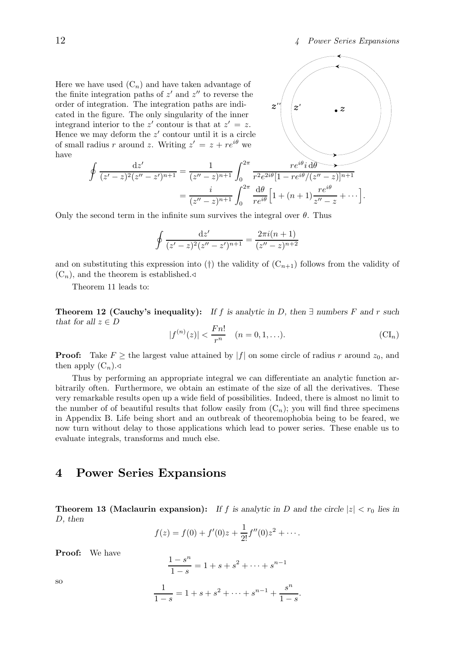Here we have used  $(C_n)$  and have taken advantage of the finite integration paths of  $z'$  and  $z''$  to reverse the order of integration. The integration paths are indicated in the figure. The only singularity of the inner integrand interior to the z' contour is that at  $z' = z$ . Hence we may deform the  $z'$  contour until it is a circle of small radius r around z. Writing  $z' = z + re^{i\theta}$  we have

 $\frac{\mathrm{d}z'}{(z'-z)^2(z''-z')^{n+1}} = \frac{1}{(z''-z)}$ 



Only the second term in the infinite sum survives the integral over  $\theta$ . Thus

 $=\frac{i}{\sqrt{u}}$ 

$$
\oint \frac{\mathrm{d}z'}{(z'-z)^2(z''-z')^{n+1}} = \frac{2\pi i(n+1)}{(z''-z)^{n+2}}
$$

 $\frac{1}{(z''-z)^{n+1}}\int_0^{2\pi}$ 

 $\frac{i}{(z''-z)^{n+1}}\int_0^{2\pi}$ 

and on substituting this expression into (†) the validity of  $(C_{n+1})$  follows from the validity of  $(C_n)$ , and the theorem is established.

Theorem 11 leads to:

 $\int$  dz'

Theorem 12 (Cauchy's inequality): If f is analytic in D, then  $\exists$  numbers F and r such that for all  $z \in D$ 

$$
|f^{(n)}(z)| < \frac{Fn!}{r^n} \quad (n = 0, 1, \ldots). \tag{CI_n}
$$

**Proof:** Take  $F \ge$  the largest value attained by  $|f|$  on some circle of radius r around  $z_0$ , and then apply  $(C_n)$ .

Thus by performing an appropriate integral we can differentiate an analytic function arbitrarily often. Furthermore, we obtain an estimate of the size of all the derivatives. These very remarkable results open up a wide field of possibilities. Indeed, there is almost no limit to the number of of beautiful results that follow easily from  $(C_n)$ ; you will find three specimens in Appendix B. Life being short and an outbreak of theoremophobia being to be feared, we now turn without delay to those applications which lead to power series. These enable us to evaluate integrals, transforms and much else.

## 4 Power Series Expansions

**Theorem 13 (Maclaurin expansion):** If f is analytic in D and the circle  $|z| < r_0$  lies in D, then

$$
f(z) = f(0) + f'(0)z + \frac{1}{2!}f''(0)z^{2} + \cdots
$$

Proof: We have

$$
\frac{1-s^n}{1-s} = 1 + s + s^2 + \dots + s^{n-1}
$$

so

$$
\frac{1}{1-s} = 1 + s + s^2 + \dots + s^{n-1} + \frac{s^n}{1-s}.
$$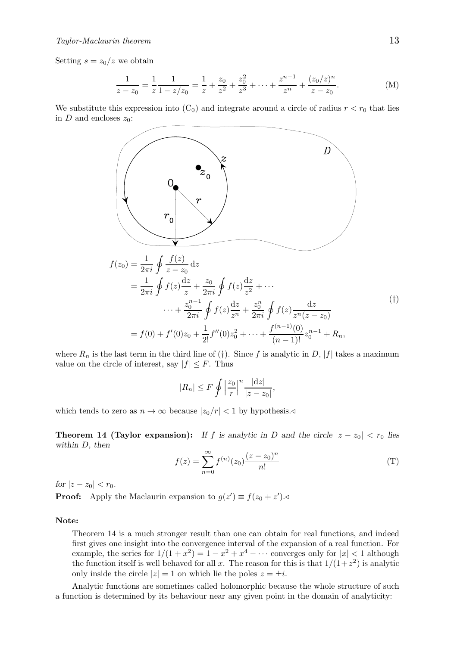Setting  $s = z_0/z$  we obtain

$$
\frac{1}{z-z_0} = \frac{1}{z} \frac{1}{1-z/z_0} = \frac{1}{z} + \frac{z_0}{z^2} + \frac{z_0^2}{z^3} + \dots + \frac{z^{n-1}}{z^n} + \frac{(z_0/z)^n}{z-z_0}.
$$
 (M)

We substitute this expression into  $(C_0)$  and integrate around a circle of radius  $r < r_0$  that lies in D and encloses  $z_0$ :



where  $R_n$  is the last term in the third line of (†). Since f is analytic in D, |f| takes a maximum value on the circle of interest, say  $|f| \leq F$ . Thus

$$
|R_n| \le F \oint \left|\frac{z_0}{r}\right|^n \frac{|dz|}{|z-z_0|},
$$

which tends to zero as  $n \to \infty$  because  $|z_0/r| < 1$  by hypothesis.

**Theorem 14 (Taylor expansion):** If f is analytic in D and the circle  $|z - z_0| < r_0$  lies within D, then

$$
f(z) = \sum_{n=0}^{\infty} f^{(n)}(z_0) \frac{(z - z_0)^n}{n!}
$$
 (T)

for  $|z - z_0| < r_0$ .

**Proof:** Apply the Maclaurin expansion to  $g(z') \equiv f(z_0 + z')$ .

## Note:

Theorem 14 is a much stronger result than one can obtain for real functions, and indeed first gives one insight into the convergence interval of the expansion of a real function. For example, the series for  $1/(1+x^2) = 1-x^2+x^4-\cdots$  converges only for  $|x| < 1$  although the function itself is well behaved for all x. The reason for this is that  $1/(1+z^2)$  is analytic only inside the circle  $|z| = 1$  on which lie the poles  $z = \pm i$ .

Analytic functions are sometimes called holomorphic because the whole structure of such a function is determined by its behaviour near any given point in the domain of analyticity: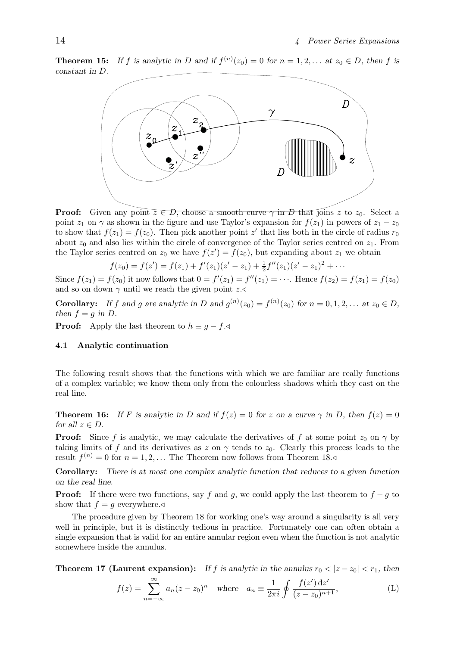**Theorem 15:** If f is analytic in D and if  $f^{(n)}(z_0) = 0$  for  $n = 1, 2, ...$  at  $z_0 \in D$ , then f is constant in D.



**Proof:** Given any point  $z \in D$ , choose a smooth curve  $\gamma$  in D that joins z to  $z_0$ . Select a point  $z_1$  on  $\gamma$  as shown in the figure and use Taylor's expansion for  $f(z_1)$  in powers of  $z_1 - z_0$ to show that  $f(z_1) = f(z_0)$ . Then pick another point z' that lies both in the circle of radius  $r_0$ about  $z_0$  and also lies within the circle of convergence of the Taylor series centred on  $z_1$ . From the Taylor series centred on  $z_0$  we have  $f(z') = f(z_0)$ , but expanding about  $z_1$  we obtain

$$
f(z_0) = f(z') = f(z_1) + f'(z_1)(z'-z_1) + \frac{1}{2}f''(z_1)(z'-z_1)^2 + \cdots
$$

Since  $f(z_1) = f(z_0)$  it now follows that  $0 = f'(z_1) = f''(z_1) = \cdots$ . Hence  $f(z_2) = f(z_1) = f(z_0)$ and so on down  $\gamma$  until we reach the given point z.

**Corollary:** If f and g are analytic in D and  $g^{(n)}(z_0) = f^{(n)}(z_0)$  for  $n = 0, 1, 2, \ldots$  at  $z_0 \in D$ , then  $f = g$  in D.

**Proof:** Apply the last theorem to  $h \equiv g - f.$ 

#### 4.1 Analytic continuation

The following result shows that the functions with which we are familiar are really functions of a complex variable; we know them only from the colourless shadows which they cast on the real line.

**Theorem 16:** If F is analytic in D and if  $f(z) = 0$  for z on a curve  $\gamma$  in D, then  $f(z) = 0$ for all  $z \in D$ .

**Proof:** Since f is analytic, we may calculate the derivatives of f at some point  $z_0$  on  $\gamma$  by taking limits of f and its derivatives as z on  $\gamma$  tends to z<sub>0</sub>. Clearly this process leads to the result  $f^{(n)} = 0$  for  $n = 1, 2, ...$  The Theorem now follows from Theorem 18.

Corollary: There is at most one complex analytic function that reduces to a given function on the real line.

**Proof:** If there were two functions, say f and g, we could apply the last theorem to  $f - g$  to show that  $f = g$  everywhere.

The procedure given by Theorem 18 for working one's way around a singularity is all very well in principle, but it is distinctly tedious in practice. Fortunately one can often obtain a single expansion that is valid for an entire annular region even when the function is not analytic somewhere inside the annulus.

**Theorem 17 (Laurent expansion):** If f is analytic in the annulus  $r_0 < |z - z_0| < r_1$ , then

$$
f(z) = \sum_{n = -\infty}^{\infty} a_n (z - z_0)^n \quad \text{where} \quad a_n \equiv \frac{1}{2\pi i} \oint \frac{f(z') \, dz'}{(z - z_0)^{n+1}},
$$
 (L)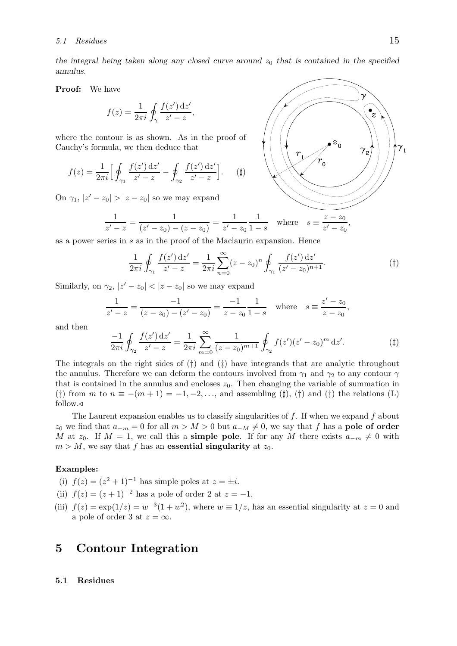the integral being taken along any closed curve around  $z_0$  that is contained in the specified annulus.

Proof: We have

$$
f(z) = \frac{1}{2\pi i} \oint_{\gamma} \frac{f(z') \, \mathrm{d}z'}{z' - z},
$$

where the contour is as shown. As in the proof of Cauchy's formula, we then deduce that

$$
f(z) = \frac{1}{2\pi i} \Big[ \oint_{\gamma_1} \frac{f(z') \, dz'}{z' - z} - \oint_{\gamma_2} \frac{f(z') \, dz'}{z' - z} \Big]. \tag{\sharp}
$$

On  $\gamma_1, |z'-z_0| > |z-z_0|$  so we may expand

$$
\frac{1}{z'-z} = \frac{1}{(z'-z_0)-(z-z_0)} = \frac{1}{z'-z_0} \frac{1}{1-s} \quad \text{where} \quad s \equiv \frac{z-z_0}{z'-z_0},
$$

as a power series in s as in the proof of the Maclaurin expansion. Hence

$$
\frac{1}{2\pi i} \oint_{\gamma_1} \frac{f(z') \, dz'}{z' - z} = \frac{1}{2\pi i} \sum_{n=0}^{\infty} (z - z_0)^n \oint_{\gamma_1} \frac{f(z') \, dz'}{(z' - z_0)^{n+1}}.
$$
 (†)

Similarly, on  $\gamma_2$ ,  $|z'-z_0| < |z-z_0|$  so we may expand

$$
\frac{1}{z'-z} = \frac{-1}{(z-z_0)-(z'-z_0)} = \frac{-1}{z-z_0}\frac{1}{1-s} \quad \text{where} \quad s \equiv \frac{z'-z_0}{z-z_0},
$$

and then

$$
\frac{-1}{2\pi i} \oint_{\gamma_2} \frac{f(z') \, dz'}{z' - z} = \frac{1}{2\pi i} \sum_{m=0}^{\infty} \frac{1}{(z - z_0)^{m+1}} \oint_{\gamma_2} f(z') (z' - z_0)^m \, dz'. \tag{\ddagger}
$$

The integrals on the right sides of  $(\dagger)$  and  $(\dagger)$  have integrands that are analytic throughout the annulus. Therefore we can deform the contours involved from  $\gamma_1$  and  $\gamma_2$  to any contour  $\gamma$ that is contained in the annulus and encloses  $z_0$ . Then changing the variable of summation in (‡) from m to  $n \equiv -(m+1) = -1, -2, \ldots$ , and assembling (‡), (†) and (‡) the relations (L) follow.⊳

The Laurent expansion enables us to classify singularities of  $f$ . If when we expand  $f$  about  $z_0$  we find that  $a_{-m} = 0$  for all  $m > M > 0$  but  $a_{-M} \neq 0$ , we say that f has a **pole of order** M at z<sub>0</sub>. If  $M = 1$ , we call this a **simple pole**. If for any M there exists  $a_{-m} \neq 0$  with  $m > M$ , we say that f has an **essential singularity** at  $z_0$ .

## Examples:

- (i)  $f(z) = (z^2 + 1)^{-1}$  has simple poles at  $z = \pm i$ .
- (ii)  $f(z) = (z + 1)^{-2}$  has a pole of order 2 at  $z = -1$ .
- (iii)  $f(z) = \exp(1/z) = w^{-3}(1+w^2)$ , where  $w \equiv 1/z$ , has an essential singularity at  $z = 0$  and a pole of order 3 at  $z = \infty$ .

## 5 Contour Integration

#### 5.1 Residues

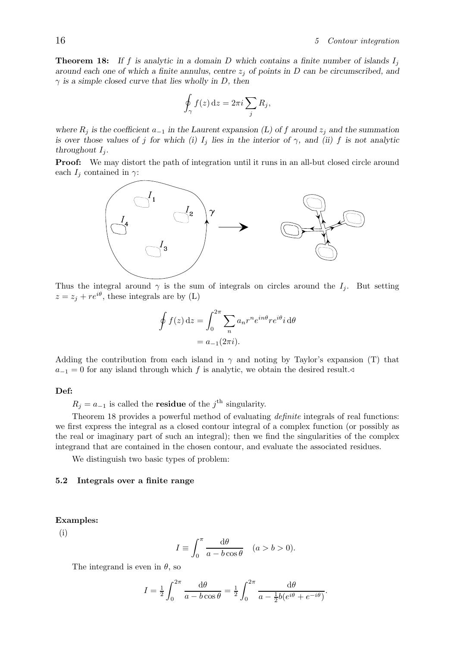**Theorem 18:** If f is analytic in a domain D which contains a finite number of islands  $I_i$ around each one of which a finite annulus, centre  $z_i$  of points in D can be circumscribed, and  $\gamma$  is a simple closed curve that lies wholly in D, then

$$
\oint_{\gamma} f(z) dz = 2\pi i \sum_{j} R_{j},
$$

where  $R_i$  is the coefficient  $a_{-1}$  in the Laurent expansion (L) of f around  $z_i$  and the summation is over those values of j for which (i)  $I_i$  lies in the interior of  $\gamma$ , and (ii) f is not analytic throughout  $I_i$ .

Proof: We may distort the path of integration until it runs in an all-but closed circle around each  $I_i$  contained in  $\gamma$ :



Thus the integral around  $\gamma$  is the sum of integrals on circles around the  $I_j$ . But setting  $z = z_j + re^{i\theta}$ , these integrals are by (L)

$$
\oint f(z) dz = \int_0^{2\pi} \sum_n a_n r^n e^{in\theta} r e^{i\theta} i d\theta
$$

$$
= a_{-1}(2\pi i).
$$

Adding the contribution from each island in  $\gamma$  and noting by Taylor's expansion (T) that  $a_{-1} = 0$  for any island through which f is analytic, we obtain the desired result.

## Def:

 $R_j = a_{-1}$  is called the **residue** of the j<sup>th</sup> singularity.

Theorem 18 provides a powerful method of evaluating definite integrals of real functions: we first express the integral as a closed contour integral of a complex function (or possibly as the real or imaginary part of such an integral); then we find the singularities of the complex integrand that are contained in the chosen contour, and evaluate the associated residues.

We distinguish two basic types of problem:

#### 5.2 Integrals over a finite range

## Examples:

(i)

$$
I \equiv \int_0^{\pi} \frac{d\theta}{a - b\cos\theta} \quad (a > b > 0).
$$

The integrand is even in  $\theta$ , so

$$
I = \frac{1}{2} \int_0^{2\pi} \frac{d\theta}{a - b\cos\theta} = \frac{1}{2} \int_0^{2\pi} \frac{d\theta}{a - \frac{1}{2}b(e^{i\theta} + e^{-i\theta})}.
$$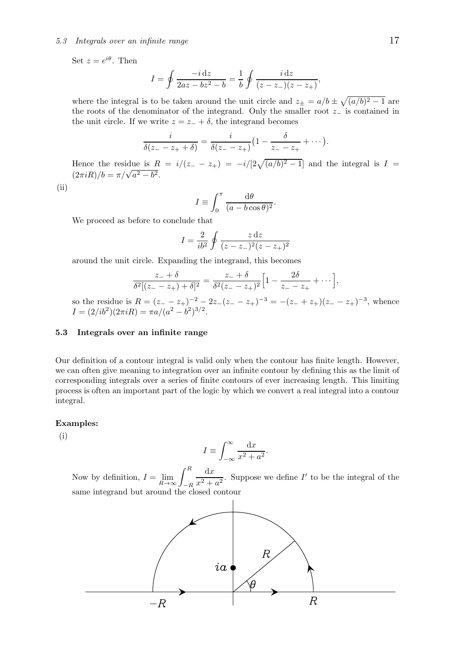## 5.3 Integrals over an infinite range 17

Set  $z = e^{i\theta}$ . Then

$$
I = \oint \frac{-i \, dz}{2az - bz^2 - b} = \frac{1}{b} \oint \frac{i \, dz}{(z - z_{-})(z - z_{+})}
$$

where the integral is to be taken around the unit circle and  $z_{\pm} = a/b \pm \sqrt{(a/b)^2 - 1}$  are the roots of the denominator of the integrand. Only the smaller root z<sup>−</sup> is contained in the unit circle. If we write  $z = z_+ + \delta$ , the integrand becomes

$$
\frac{i}{\delta(z_--z_++\delta)}=\frac{i}{\delta(z_--z_+)}\big(1-\frac{\delta}{z_--z_+}+\cdots\big)
$$

Hence the residue is  $R = i/(z_{-} - z_{+}) = -i/[2\sqrt{(a/b)^{2} - 1}]$  and the integral is  $I =$  $(2\pi iR)/b = \pi/\sqrt{a^2 - b^2}.$ 

 $(ii)$ 

$$
I \equiv \int_0^{\pi} \frac{\mathrm{d}\theta}{(a - b\cos\theta)^2}
$$

.

We proceed as before to conclude that

$$
I = \frac{2}{ib^2} \oint \frac{z \, dz}{(z - z_-)^2 (z - z_+)^2}
$$

around the unit circle. Expanding the integrand, this becomes

$$
\frac{z_{-} + \delta}{\delta^2 [(z_{-} - z_{+}) + \delta]^2} = \frac{z_{-} + \delta}{\delta^2 (z_{-} - z_{+})^2} \Big[ 1 - \frac{2\delta}{z_{-} - z_{+}} + \cdots \Big],
$$

so the residue is  $R = (z_--z_+)^{-2} - 2z_-(z_--z_+)^{-3} = -(z_-+z_+)(z_--z_+)^{-3}$ , whence  $I = (2/ib^2)(2\pi iR) = \pi a/(a^2 - b^2)^{3/2}.$ 

## 5.3 Integrals over an infinite range

Our definition of a contour integral is valid only when the contour has finite length. However, we can often give meaning to integration over an infinite contour by defining this as the limit of corresponding integrals over a series of finite contours of ever increasing length. This limiting process is often an important part of the logic by which we convert a real integral into a contour integral.

## Examples:

(i)

$$
I \equiv \int_{-\infty}^{\infty} \frac{\mathrm{d}x}{x^2 + a^2}
$$

.

Now by definition,  $I = \lim_{h \to 0}$  $\lim_{R\to\infty}\int_{-R}^R$  $dx$  $\frac{d^2}{dx^2 + a^2}$ . Suppose we define I' to be the integral of the same integrand but around the closed contour



,

.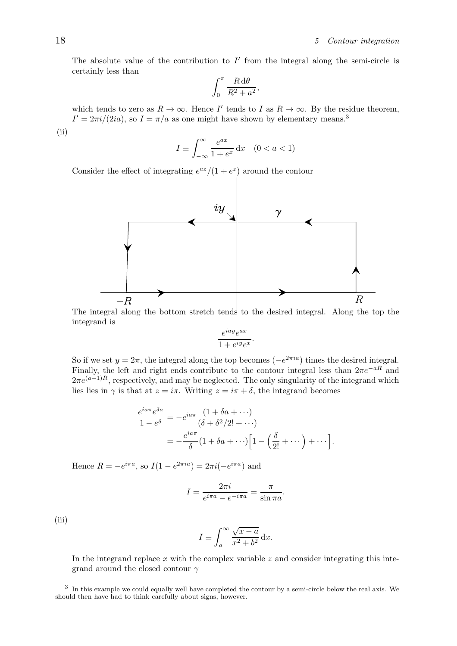The absolute value of the contribution to  $I'$  from the integral along the semi-circle is certainly less than

$$
\int_0^\pi \frac{R \, d\theta}{R^2 + a^2},
$$

which tends to zero as  $R \to \infty$ . Hence I' tends to I as  $R \to \infty$ . By the residue theorem,  $I' = 2\pi i/(2ia)$ , so  $I = \pi/a$  as one might have shown by elementary means.<sup>3</sup> (ii)

$$
I \equiv \int_{-\infty}^{\infty} \frac{e^{ax}}{1 + e^x} \, \mathrm{d}x \quad (0 < a < 1)
$$

Consider the effect of integrating  $e^{az}/(1+e^z)$  around the contour



The integral along the bottom stretch tends to the desired integral. Along the top the integrand is

$$
\frac{e^{iay}e^{ax}}{1+e^{iy}e^x}.
$$

So if we set  $y = 2\pi$ , the integral along the top becomes  $(-e^{2\pi i a})$  times the desired integral. Finally, the left and right ends contribute to the contour integral less than  $2\pi e^{-aR}$  and  $2\pi e^{(a-1)R}$ , respectively, and may be neglected. The only singularity of the integrand which lies lies in  $\gamma$  is that at  $z = i\pi$ . Writing  $z = i\pi + \delta$ , the integrand becomes

$$
\frac{e^{ia\pi}e^{\delta a}}{1-e^{\delta}} = -e^{ia\pi} \frac{(1+\delta a+\cdots)}{(\delta+\delta^2/2!+\cdots)}
$$

$$
= -\frac{e^{ia\pi}}{\delta}(1+\delta a+\cdots)\Big[1-\Big(\frac{\delta}{2!}+\cdots\Big)+\cdots\Big].
$$

Hence  $R = -e^{i\pi a}$ , so  $I(1 - e^{2\pi i a}) = 2\pi i(-e^{i\pi a})$  and

$$
I = \frac{2\pi i}{e^{i\pi a} - e^{-i\pi a}} = \frac{\pi}{\sin \pi a}.
$$

(iii)

$$
I \equiv \int_{a}^{\infty} \frac{\sqrt{x-a}}{x^2 + b^2} \, \mathrm{d}x.
$$

In the integrand replace  $x$  with the complex variable  $z$  and consider integrating this integrand around the closed contour  $\gamma$ 

<sup>3</sup> In this example we could equally well have completed the contour by a semi-circle below the real axis. We should then have had to think carefully about signs, however.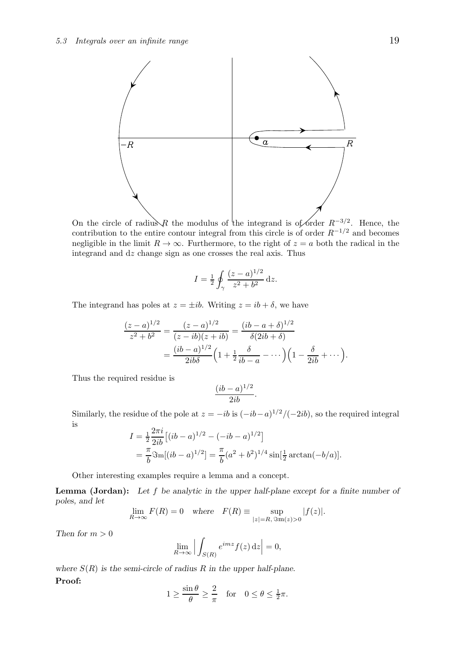

On the circle of radius R the modulus of the integrand is of order  $R^{-3/2}$ . Hence, the contribution to the entire contour integral from this circle is of order  $R^{-1/2}$  and becomes negligible in the limit  $R \to \infty$ . Furthermore, to the right of  $z = a$  both the radical in the integrand and dz change sign as one crosses the real axis. Thus

$$
I = \frac{1}{2} \oint_{\gamma} \frac{(z-a)^{1/2}}{z^2 + b^2} \,\mathrm{d}z.
$$

The integrand has poles at  $z = \pm ib$ . Writing  $z = ib + \delta$ , we have

$$
\frac{(z-a)^{1/2}}{z^2+b^2} = \frac{(z-a)^{1/2}}{(z-ib)(z+ib)} = \frac{(ib-a+\delta)^{1/2}}{\delta(2ib+\delta)}
$$

$$
= \frac{(ib-a)^{1/2}}{2ib\delta} \left(1 + \frac{1}{2}\frac{\delta}{ib-a} - \cdots\right) \left(1 - \frac{\delta}{2ib} + \cdots\right)
$$

Thus the required residue is

$$
\frac{(ib-a)^{1/2}}{2ib}.
$$

Similarly, the residue of the pole at  $z = -ib$  is  $(-ib - a)^{1/2}/(-2ib)$ , so the required integral is

$$
I = \frac{1}{2} \frac{2\pi i}{2ib} \left[ (ib - a)^{1/2} - (-ib - a)^{1/2} \right]
$$
  
=  $\frac{\pi}{b} \Im \text{m}[(ib - a)^{1/2}] = \frac{\pi}{b} (a^2 + b^2)^{1/4} \sin[\frac{1}{2} \arctan(-b/a)].$ 

Other interesting examples require a lemma and a concept.

**Lemma (Jordan):** Let  $f$  be analytic in the upper half-plane except for a finite number of poles, and let

$$
\lim_{R \to \infty} F(R) = 0 \quad \text{where} \quad F(R) \equiv \sup_{|z| = R, \Im \mathbf{m}(z) > 0} |f(z)|.
$$

Then for  $m > 0$ 

$$
\lim_{R \to \infty} \left| \int_{S(R)} e^{imz} f(z) \, \mathrm{d}z \right| = 0,
$$

where  $S(R)$  is the semi-circle of radius R in the upper half-plane. Proof:

$$
1 \ge \frac{\sin \theta}{\theta} \ge \frac{2}{\pi} \quad \text{for} \quad 0 \le \theta \le \frac{1}{2}\pi.
$$

.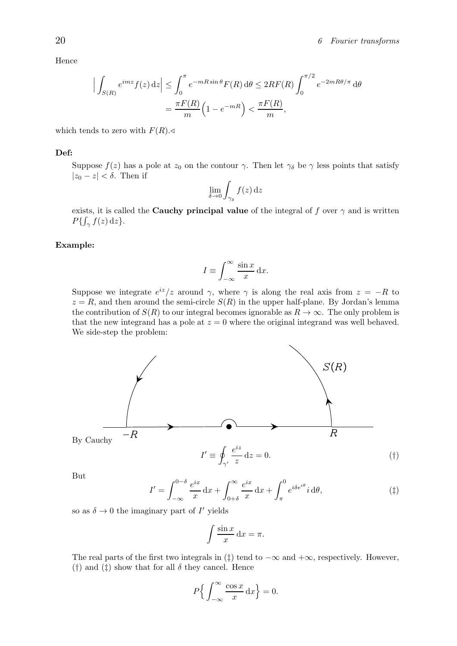Hence

$$
\left| \int_{S(R)} e^{imz} f(z) dz \right| \leq \int_0^{\pi} e^{-mR \sin \theta} F(R) d\theta \leq 2RF(R) \int_0^{\pi/2} e^{-2mR\theta/\pi} d\theta
$$

$$
= \frac{\pi F(R)}{m} \left( 1 - e^{-mR} \right) < \frac{\pi F(R)}{m},
$$

which tends to zero with  $F(R)$ .

## Def:

Suppose  $f(z)$  has a pole at  $z_0$  on the contour  $\gamma$ . Then let  $\gamma_\delta$  be  $\gamma$  less points that satisfy  $|z_0 - z| < \delta$ . Then if

$$
\lim_{\delta \to 0} \int_{\gamma_{\delta}} f(z) \, \mathrm{d}z
$$

exists, it is called the **Cauchy principal value** of the integral of f over  $\gamma$  and is written  $P\{\int_{\gamma} f(z) \,\mathrm{d}z\}.$ 

#### Example:

$$
I \equiv \int_{-\infty}^{\infty} \frac{\sin x}{x} \, \mathrm{d}x.
$$

Suppose we integrate  $e^{iz}/z$  around  $\gamma$ , where  $\gamma$  is along the real axis from  $z = -R$  to  $z = R$ , and then around the semi-circle  $S(R)$  in the upper half-plane. By Jordan's lemma the contribution of  $S(R)$  to our integral becomes ignorable as  $R \to \infty$ . The only problem is that the new integrand has a pole at  $z = 0$  where the original integrand was well behaved. We side-step the problem:



But

 $I' =$  $\int_0^{0-\delta}$ −∞  $e^{ix}$  $\frac{y}{x}$  dx +  $\int_0^\infty$  $_{0+\delta}$  $e^{ix}$  $\frac{1}{x}$  dx +  $\int_0^0$ π  $e^{i\delta e^{i\theta}}i\,\mathrm{d}\theta,$  (#)

so as  $\delta \to 0$  the imaginary part of  $I'$  yields

$$
\int \frac{\sin x}{x} \, \mathrm{d}x = \pi.
$$

The real parts of the first two integrals in  $(\ddagger)$  tend to  $-\infty$  and  $+\infty$ , respectively. However, (†) and (†) show that for all  $\delta$  they cancel. Hence

$$
P\Big\{\int_{-\infty}^{\infty} \frac{\cos x}{x} \,\mathrm{d}x\Big\} = 0.
$$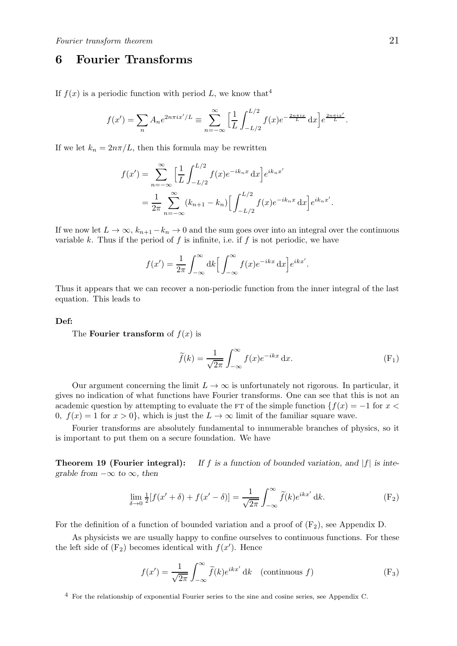## 6 Fourier Transforms

If  $f(x)$  is a periodic function with period L, we know that<sup>4</sup>

$$
f(x') = \sum_{n} A_n e^{2n\pi i x'/L} \equiv \sum_{n=-\infty}^{\infty} \left[ \frac{1}{L} \int_{-L/2}^{L/2} f(x) e^{-\frac{2n\pi i x}{L}} dx \right] e^{\frac{2n\pi i x'}{L}}.
$$

If we let  $k_n = 2n\pi/L$ , then this formula may be rewritten

$$
f(x') = \sum_{n=-\infty}^{\infty} \left[ \frac{1}{L} \int_{-L/2}^{L/2} f(x) e^{-ik_n x} dx \right] e^{ik_n x'}
$$
  
= 
$$
\frac{1}{2\pi} \sum_{n=-\infty}^{\infty} (k_{n+1} - k_n) \left[ \int_{-L/2}^{L/2} f(x) e^{-ik_n x} dx \right] e^{ik_n x'}.
$$

If we now let  $L \to \infty$ ,  $k_{n+1}-k_n \to 0$  and the sum goes over into an integral over the continuous variable k. Thus if the period of  $f$  is infinite, i.e. if  $f$  is not periodic, we have

$$
f(x') = \frac{1}{2\pi} \int_{-\infty}^{\infty} dk \left[ \int_{-\infty}^{\infty} f(x) e^{-ikx} dx \right] e^{ikx'}.
$$

Thus it appears that we can recover a non-periodic function from the inner integral of the last equation. This leads to

#### Def:

The **Fourier transform** of  $f(x)$  is

$$
\widetilde{f}(k) = \frac{1}{\sqrt{2\pi}} \int_{-\infty}^{\infty} f(x)e^{-ikx} dx.
$$
 (F<sub>1</sub>)

Our argument concerning the limit  $L \to \infty$  is unfortunately not rigorous. In particular, it gives no indication of what functions have Fourier transforms. One can see that this is not an academic question by attempting to evaluate the FT of the simple function  ${f(x) = -1$  for  $x <$ 0,  $f(x) = 1$  for  $x > 0$ , which is just the  $L \to \infty$  limit of the familiar square wave.

Fourier transforms are absolutely fundamental to innumerable branches of physics, so it is important to put them on a secure foundation. We have

**Theorem 19 (Fourier integral):** If f is a function of bounded variation, and  $|f|$  is integrable from  $-\infty$  to  $\infty$ , then

$$
\lim_{\delta \to 0} \frac{1}{2} [f(x' + \delta) + f(x' - \delta)] = \frac{1}{\sqrt{2\pi}} \int_{-\infty}^{\infty} \tilde{f}(k) e^{ikx'} dk.
$$
 (F<sub>2</sub>)

For the definition of a function of bounded variation and a proof of  $(F_2)$ , see Appendix D.

As physicists we are usually happy to confine ourselves to continuous functions. For these the left side of  $(F_2)$  becomes identical with  $f(x')$ . Hence

$$
f(x') = \frac{1}{\sqrt{2\pi}} \int_{-\infty}^{\infty} \tilde{f}(k)e^{ikx'} dk \quad \text{(continuous } f\text{)}
$$
 (F<sub>3</sub>)

<sup>4</sup> For the relationship of exponential Fourier series to the sine and cosine series, see Appendix C.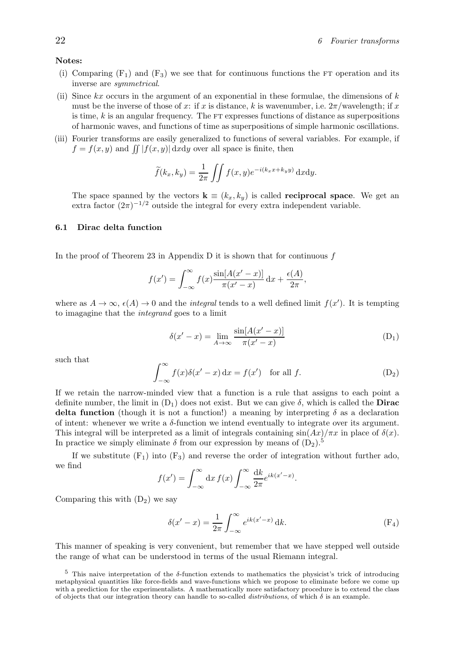## Notes:

- (i) Comparing  $(F_1)$  and  $(F_3)$  we see that for continuous functions the FT operation and its inverse are symmetrical.
- (ii) Since  $kx$  occurs in the argument of an exponential in these formulae, the dimensions of  $k$ must be the inverse of those of x: if x is distance, k is wavenumber, i.e.  $2\pi$ /wavelength; if x is time,  $k$  is an angular frequency. The  $FT$  expresses functions of distance as superpositions of harmonic waves, and functions of time as superpositions of simple harmonic oscillations.
- (iii) Fourier transforms are easily generalized to functions of several variables. For example, if  $f = f(x, y)$  and  $\iint |f(x, y)| \, dx dy$  over all space is finite, then

$$
\widetilde{f}(k_x, k_y) = \frac{1}{2\pi} \iint f(x, y) e^{-i(k_x x + k_y y)} dxdy.
$$

The space spanned by the vectors  $\mathbf{k} \equiv (k_x, k_y)$  is called **reciprocal space**. We get an extra factor  $(2\pi)^{-1/2}$  outside the integral for every extra independent variable.

## 6.1 Dirac delta function

In the proof of Theorem 23 in Appendix D it is shown that for continuous  $f$ 

$$
f(x') = \int_{-\infty}^{\infty} f(x) \frac{\sin[A(x'-x)]}{\pi(x'-x)} dx + \frac{\epsilon(A)}{2\pi},
$$

where as  $A \to \infty$ ,  $\epsilon(A) \to 0$  and the *integral* tends to a well defined limit  $f(x')$ . It is tempting to imagagine that the integrand goes to a limit

$$
\delta(x'-x) = \lim_{A \to \infty} \frac{\sin[A(x'-x)]}{\pi(x'-x)}
$$
(D<sub>1</sub>)

such that

$$
\int_{-\infty}^{\infty} f(x)\delta(x'-x) dx = f(x') \text{ for all } f.
$$
 (D<sub>2</sub>)

If we retain the narrow-minded view that a function is a rule that assigns to each point a definite number, the limit in  $(D_1)$  does not exist. But we can give  $\delta$ , which is called the **Dirac** delta function (though it is not a function!) a meaning by interpreting  $\delta$  as a declaration of intent: whenever we write a  $\delta$ -function we intend eventually to integrate over its argument. This integral will be interpreted as a limit of integrals containing  $\sin(Ax)/\pi x$  in place of  $\delta(x)$ . In practice we simply eliminate  $\delta$  from our expression by means of  $(D_2)$ .<sup>5</sup>

If we substitute  $(F_1)$  into  $(F_3)$  and reverse the order of integration without further ado, we find

$$
f(x') = \int_{-\infty}^{\infty} dx f(x) \int_{-\infty}^{\infty} \frac{dk}{2\pi} e^{ik(x'-x)}
$$

Comparing this with  $(D_2)$  we say

$$
\delta(x'-x) = \frac{1}{2\pi} \int_{-\infty}^{\infty} e^{ik(x'-x)} \, \mathrm{d}k. \tag{F_4}
$$

.

This manner of speaking is very convenient, but remember that we have stepped well outside the range of what can be understood in terms of the usual Riemann integral.

 $5$  This naive interpretation of the δ-function extends to mathematics the physicist's trick of introducing metaphysical quantities like force-fields and wave-functions which we propose to eliminate before we come up with a prediction for the experimentalists. A mathematically more satisfactory procedure is to extend the class of objects that our integration theory can handle to so-called *distributions*, of which  $\delta$  is an example.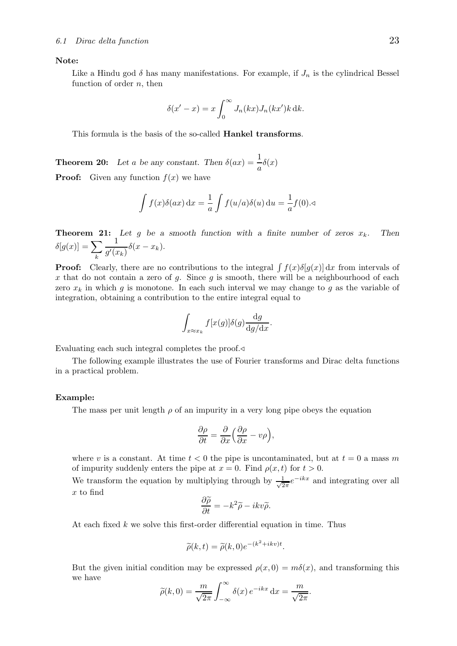## Note:

Like a Hindu god  $\delta$  has many manifestations. For example, if  $J_n$  is the cylindrical Bessel function of order  $n$ , then

$$
\delta(x'-x) = x \int_0^\infty J_n(kx) J_n(kx') k \,dk.
$$

This formula is the basis of the so-called Hankel transforms.

**Theorem 20:** Let a be any constant. Then  $\delta(ax) = \frac{1}{a}\delta(x)$ **Proof:** Given any function  $f(x)$  we have

$$
\int f(x)\delta(ax) dx = \frac{1}{a} \int f(u/a)\delta(u) du = \frac{1}{a}f(0). \triangleleft
$$

**Theorem 21:** Let g be a smooth function with a finite number of zeros  $x_k$ . Then  $\delta[g(x)] = \sum$ k 1  $\frac{1}{g'(x_k)}\delta(x-x_k).$ 

**Proof:** Clearly, there are no contributions to the integral  $\int f(x)\delta[g(x)] dx$  from intervals of x that do not contain a zero of q. Since q is smooth, there will be a neighbourhood of each zero  $x_k$  in which g is monotone. In each such interval we may change to g as the variable of integration, obtaining a contribution to the entire integral equal to

$$
\int_{x \approx x_k} f[x(g)] \delta(g) \frac{\mathrm{d}g}{\mathrm{d}g/\mathrm{d}x}.
$$

Evaluating each such integral completes the proof.⊳

The following example illustrates the use of Fourier transforms and Dirac delta functions in a practical problem.

#### Example:

The mass per unit length  $\rho$  of an impurity in a very long pipe obeys the equation

$$
\frac{\partial \rho}{\partial t} = \frac{\partial}{\partial x} \left( \frac{\partial \rho}{\partial x} - v \rho \right),\,
$$

where v is a constant. At time  $t < 0$  the pipe is uncontaminated, but at  $t = 0$  a mass m of impurity suddenly enters the pipe at  $x = 0$ . Find  $\rho(x, t)$  for  $t > 0$ .

We transform the equation by multiplying through by  $\frac{1}{\sqrt{2}}$  $\frac{1}{2\pi}e^{-ikx}$  and integrating over all x to find

$$
\frac{\partial \widetilde{\rho}}{\partial t} = -k^2 \widetilde{\rho} - ikv \widetilde{\rho}.
$$

At each fixed  $k$  we solve this first-order differential equation in time. Thus

$$
\widetilde{\rho}(k,t) = \widetilde{\rho}(k,0)e^{-(k^2+ikv)t}.
$$

But the given initial condition may be expressed  $\rho(x, 0) = m\delta(x)$ , and transforming this we have

$$
\widetilde{\rho}(k,0) = \frac{m}{\sqrt{2\pi}} \int_{-\infty}^{\infty} \delta(x) e^{-ikx} dx = \frac{m}{\sqrt{2\pi}}.
$$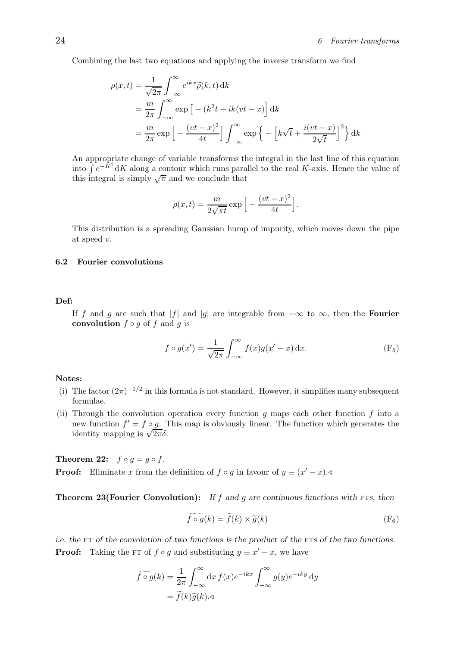Combining the last two equations and applying the inverse transform we find

$$
\rho(x,t) = \frac{1}{\sqrt{2\pi}} \int_{-\infty}^{\infty} e^{ikx} \tilde{\rho}(k,t) \,dk
$$
  
=  $\frac{m}{2\pi} \int_{-\infty}^{\infty} \exp\left[-\left(k^2 t + ik(vt - x)\right)\right] \,dk$   
=  $\frac{m}{2\pi} \exp\left[-\frac{(vt - x)^2}{4t}\right] \int_{-\infty}^{\infty} \exp\left\{-\left[k\sqrt{t} + \frac{i(vt - x)}{2\sqrt{t}}\right]^2\right\} \,dk$ 

An appropriate change of variable transforms the integral in the last line of this equation into  $\int e^{-\hat{K}^2} dK$  along a contour which runs parallel to the real K-axis. Hence the value of this integral is simply  $\sqrt{\pi}$  and we conclude that

$$
\rho(x,t) = \frac{m}{2\sqrt{\pi t}} \exp\Big[-\frac{(vt-x)^2}{4t}\Big].
$$

This distribution is a spreading Gaussian hump of impurity, which moves down the pipe at speed v.

## 6.2 Fourier convolutions

## Def:

If f and g are such that |f| and |g| are integrable from  $-\infty$  to  $\infty$ , then the **Fourier** convolution  $f \circ g$  of f and g is

$$
f \circ g(x') = \frac{1}{\sqrt{2\pi}} \int_{-\infty}^{\infty} f(x)g(x'-x) \,dx. \tag{F5}
$$

## Notes:

- (i) The factor  $(2\pi)^{-1/2}$  in this formula is not standard. However, it simplifies many subsequent formulae.
- (ii) Through the convolution operation every function  $g$  maps each other function  $f$  into a new function  $f' = f \circ g$ . This map is obviously linear. The function which generates the identity mapping is  $\sqrt{2\pi\delta}$ .

Theorem 22:  $f \circ g = g \circ f$ . **Proof:** Eliminate x from the definition of  $f \circ g$  in favour of  $y \equiv (x'-x)$ .

**Theorem 23(Fourier Convolution):** If f and g are continuous functions with FTs, then

$$
\widetilde{f \circ g}(k) = \widetilde{f}(k) \times \widetilde{g}(k)
$$
\n(F<sub>6</sub>)

i.e. the FT of the convolution of two functions is the product of the FTs of the two functions. **Proof:** Taking the FT of  $f \circ g$  and substituting  $y \equiv x' - x$ , we have

$$
\widetilde{f \circ g}(k) = \frac{1}{2\pi} \int_{-\infty}^{\infty} dx f(x) e^{-ikx} \int_{-\infty}^{\infty} g(y) e^{-iky} dy
$$

$$
= \widetilde{f}(k) \widetilde{g}(k) . \triangleleft
$$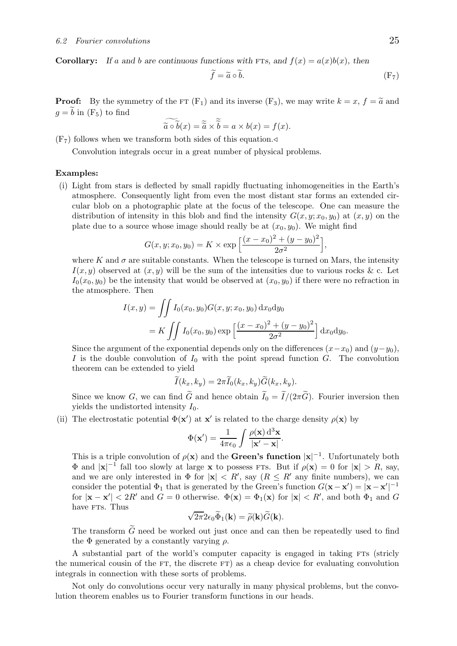**Corollary:** If a and b are continuous functions with FTs, and  $f(x) = a(x)b(x)$ , then

$$
\widetilde{f} = \widetilde{a} \circ \widetilde{b}.\tag{F7}
$$

**Proof:** By the symmetry of the FT  $(F_1)$  and its inverse  $(F_3)$ , we may write  $k = x$ ,  $f = \tilde{a}$  and  $g = \tilde{b}$  in  $(F_5)$  to find

$$
\widetilde{\widetilde{a}\circ\widetilde{b}}(x)=\widetilde{\widetilde{a}}\times\widetilde{\widetilde{b}}=a\times b(x)=f(x).
$$

 $(F<sub>7</sub>)$  follows when we transform both sides of this equation.

Convolution integrals occur in a great number of physical problems.

## Examples:

(i) Light from stars is deflected by small rapidly fluctuating inhomogeneities in the Earth's atmosphere. Consequently light from even the most distant star forms an extended circular blob on a photographic plate at the focus of the telescope. One can measure the distribution of intensity in this blob and find the intensity  $G(x, y; x_0, y_0)$  at  $(x, y)$  on the plate due to a source whose image should really be at  $(x_0, y_0)$ . We might find

$$
G(x, y; x_0, y_0) = K \times \exp\left[\frac{(x - x_0)^2 + (y - y_0)^2}{2\sigma^2}\right],
$$

where K and  $\sigma$  are suitable constants. When the telescope is turned on Mars, the intensity  $I(x, y)$  observed at  $(x, y)$  will be the sum of the intensities due to various rocks & c. Let  $I_0(x_0, y_0)$  be the intensity that would be observed at  $(x_0, y_0)$  if there were no refraction in the atmosphere. Then

$$
I(x,y) = \iint I_0(x_0, y_0) G(x, y; x_0, y_0) dx_0 dy_0
$$
  
=  $K \iint I_0(x_0, y_0) \exp \left[ \frac{(x - x_0)^2 + (y - y_0)^2}{2\sigma^2} \right] dx_0 dy_0.$ 

Since the argument of the exponential depends only on the differences  $(x-x_0)$  and  $(y-y_0)$ , I is the double convolution of  $I_0$  with the point spread function G. The convolution theorem can be extended to yield

$$
I(k_x, k_y) = 2\pi I_0(k_x, k_y)G(k_x, k_y).
$$

Since we know G, we can find  $\tilde{G}$  and hence obtain  $\tilde{I}_0 = \tilde{I}/(2\pi \tilde{G})$ . Fourier inversion then yields the undistorted intensity  $I_0$ .

(ii) The electrostatic potential  $\Phi(\mathbf{x}')$  at  $\mathbf{x}'$  is related to the charge density  $\rho(\mathbf{x})$  by

$$
\Phi(\mathbf{x}') = \frac{1}{4\pi\epsilon_0} \int \frac{\rho(\mathbf{x}) d^3 \mathbf{x}}{|\mathbf{x}' - \mathbf{x}|}.
$$

This is a triple convolution of  $\rho(\mathbf{x})$  and the Green's function  $|\mathbf{x}|^{-1}$ . Unfortunately both  $\Phi$  and  $|\mathbf{x}|^{-1}$  fall too slowly at large **x** to possess FTs. But if  $\rho(\mathbf{x}) = 0$  for  $|\mathbf{x}| > R$ , say, and we are only interested in  $\Phi$  for  $|\mathbf{x}| < R'$ , say  $(R \leq R'$  any finite numbers), we can consider the potential  $\Phi_1$  that is generated by the Green's function  $G(\mathbf{x} - \mathbf{x}') = |\mathbf{x} - \mathbf{x}'|^{-1}$ for  $|\mathbf{x} - \mathbf{x}'| < 2R'$  and  $G = 0$  otherwise.  $\Phi(\mathbf{x}) = \Phi_1(\mathbf{x})$  for  $|\mathbf{x}| < R'$ , and both  $\Phi_1$  and  $G$ have FTs. Thus

$$
\sqrt{2\pi}2\epsilon_0\widetilde{\Phi}_1(\mathbf{k})=\widetilde{\rho}(\mathbf{k})\widetilde{G}(\mathbf{k}).
$$

The transform  $\widetilde{G}$  need be worked out just once and can then be repeatedly used to find the  $\Phi$  generated by a constantly varying  $\rho$ .

A substantial part of the world's computer capacity is engaged in taking FTs (stricly the numerical cousin of the  $FT$ , the discrete  $FT$ ) as a cheap device for evaluating convolution integrals in connection with these sorts of problems.

Not only do convolutions occur very naturally in many physical problems, but the convolution theorem enables us to Fourier transform functions in our heads.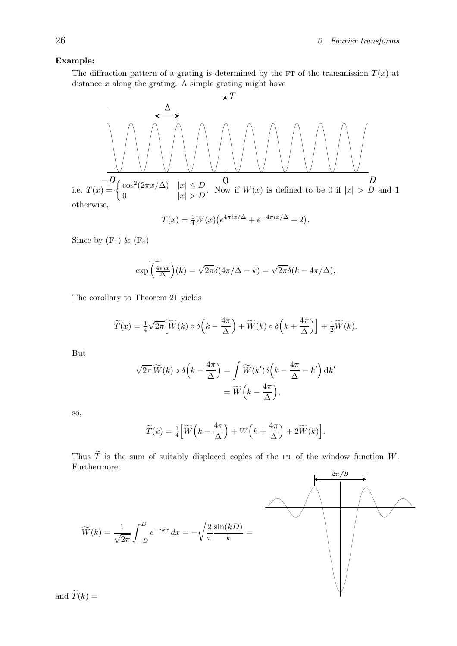## Example:

The diffraction pattern of a grating is determined by the FT of the transmission  $T(x)$  at distance  $x$  along the grating. A simple grating might have

i.e. 
$$
T(x) = \begin{cases} \cos^2(2\pi x/\Delta) & |x| \leq D \\ 0 & |x| > D \end{cases}
$$
. Now if  $W(x)$  is defined to be 0 if  $|x| > D$  and 1 otherwise,

$$
T(x) = \frac{1}{4}W(x)\left(e^{4\pi ix/\Delta} + e^{-4\pi ix/\Delta} + 2\right).
$$

Since by  $(F_1)$  &  $(F_4)$ 

$$
\exp\left(\frac{4\pi ix}{\Delta}\right)(k) = \sqrt{2\pi}\delta(4\pi/\Delta - k) = \sqrt{2\pi}\delta(k - 4\pi/\Delta),
$$

The corollary to Theorem 21 yields

$$
\widetilde{T}(x) = \frac{1}{4}\sqrt{2\pi} \Big[ \widetilde{W}(k) \circ \delta\Big(k - \frac{4\pi}{\Delta}\Big) + \widetilde{W}(k) \circ \delta\Big(k + \frac{4\pi}{\Delta}\Big) \Big] + \frac{1}{2}\widetilde{W}(k).
$$

But

$$
\sqrt{2\pi} \widetilde{W}(k) \circ \delta \left( k - \frac{4\pi}{\Delta} \right) = \int \widetilde{W}(k') \delta \left( k - \frac{4\pi}{\Delta} - k' \right) dk' \n= \widetilde{W} \left( k - \frac{4\pi}{\Delta} \right),
$$

so,

$$
\widetilde{T}(k) = \frac{1}{4} \left[ \widetilde{W}\left(k - \frac{4\pi}{\Delta}\right) + W\left(k + \frac{4\pi}{\Delta}\right) + 2\widetilde{W}(k) \right].
$$

Thus  $\widetilde{T}$  is the sum of suitably displaced copies of the FT of the window function W. Furthermore,



and  $\widetilde{T}(k) =$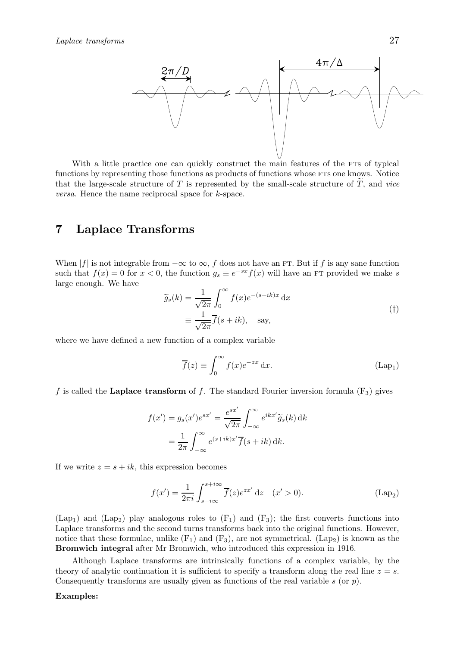

With a little practice one can quickly construct the main features of the FTs of typical functions by representing those functions as products of functions whose FTs one knows. Notice that the large-scale structure of  $T$  is represented by the small-scale structure of  $T$ , and vice versa. Hence the name reciprocal space for k-space.

## 7 Laplace Transforms

When |f| is not integrable from  $-\infty$  to  $\infty$ , f does not have an FT. But if f is any sane function such that  $f(x) = 0$  for  $x < 0$ , the function  $g_s \equiv e^{-sx} f(x)$  will have an FT provided we make s large enough. We have

$$
\widetilde{g}_s(k) = \frac{1}{\sqrt{2\pi}} \int_0^\infty f(x) e^{-(s+ik)x} dx
$$
\n
$$
\equiv \frac{1}{\sqrt{2\pi}} \overline{f}(s+ik), \text{ say,}
$$
\n(†)

where we have defined a new function of a complex variable

$$
\overline{f}(z) \equiv \int_0^\infty f(x)e^{-zx} dx.
$$
 (Lap<sub>1</sub>)

 $\overline{f}$  is called the Laplace transform of f. The standard Fourier inversion formula (F<sub>3</sub>) gives

$$
f(x') = g_s(x')e^{sx'} = \frac{e^{sx'}}{\sqrt{2\pi}} \int_{-\infty}^{\infty} e^{ikx'} \tilde{g}_s(k) dk
$$
  
= 
$$
\frac{1}{2\pi} \int_{-\infty}^{\infty} e^{(s+ik)x'} \overline{f}(s+ik) dk.
$$

If we write  $z = s + ik$ , this expression becomes

$$
f(x') = \frac{1}{2\pi i} \int_{s-i\infty}^{s+i\infty} \overline{f}(z)e^{zx'} dz \quad (x' > 0).
$$
 (Lap<sub>2</sub>)

 $(Lap<sub>1</sub>)$  and  $(Lap<sub>2</sub>)$  play analogous roles to  $(F<sub>1</sub>)$  and  $(F<sub>3</sub>)$ ; the first converts functions into Laplace transforms and the second turns transforms back into the original functions. However, notice that these formulae, unlike  $(F_1)$  and  $(F_3)$ , are not symmetrical.  $(Lap_2)$  is known as the Bromwich integral after Mr Bromwich, who introduced this expression in 1916.

Although Laplace transforms are intrinsically functions of a complex variable, by the theory of analytic continuation it is sufficient to specify a transform along the real line  $z = s$ . Consequently transforms are usually given as functions of the real variable  $s$  (or  $p$ ).

## Examples: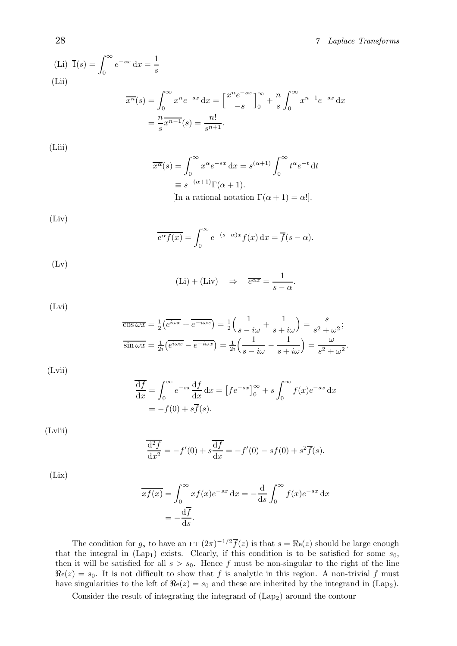## 28 7 Laplace Transforms

(Li) 
$$
\overline{1}(s) = \int_0^\infty e^{-sx} dx = \frac{1}{s}
$$
  
\n(Lii)  
\n
$$
\overline{x^n}(s) = \int_0^\infty x^n e^{-sx} dx = \left[\frac{x^n e^{-sx}}{-s}\right]_0^\infty + \frac{n}{s} \int_0^\infty x^{n-1} e^{-sx} dx
$$
\n
$$
= \frac{n}{s} \overline{x^{n-1}}(s) = \frac{n!}{s^{n+1}}.
$$

(Liii)

$$
\overline{x^{\alpha}}(s) = \int_0^{\infty} x^{\alpha} e^{-sx} dx = s^{(\alpha+1)} \int_0^{\infty} t^{\alpha} e^{-t} dt
$$

$$
\equiv s^{-(\alpha+1)} \Gamma(\alpha+1).
$$
  
[In a rational notation  $\Gamma(\alpha+1) = \alpha!$ ].

(Liv)

$$
\overline{e^{\alpha}f(x)} = \int_0^{\infty} e^{-(s-\alpha)x} f(x) dx = \overline{f}(s-\alpha).
$$

 $(Lv)$ 

$$
(Li) + (Liv) \Rightarrow \overline{e^{\alpha x}} = \frac{1}{s - \alpha}.
$$

(Lvi)

$$
\overline{\cos \omega x} = \frac{1}{2} \left( e^{i\omega x} + e^{-i\omega x} \right) = \frac{1}{2} \left( \frac{1}{s - i\omega} + \frac{1}{s + i\omega} \right) = \frac{s}{s^2 + \omega^2};
$$
  

$$
\overline{\sin \omega x} = \frac{1}{2i} \left( e^{i\omega x} - e^{-i\omega x} \right) = \frac{1}{2i} \left( \frac{1}{s - i\omega} - \frac{1}{s + i\omega} \right) = \frac{\omega}{s^2 + \omega^2}.
$$

(Lvii)

$$
\frac{\overline{df}}{dx} = \int_0^\infty e^{-sx} \frac{df}{dx} dx = [fe^{-sx}]_0^\infty + s \int_0^\infty f(x) e^{-sx} dx
$$

$$
= -f(0) + s\overline{f}(s).
$$

(Lviii)

$$
\frac{\overline{d^2 f}}{dx^2} = -f'(0) + s \frac{\overline{df}}{dx} = -f'(0) - sf(0) + s^2 \overline{f}(s).
$$

(Lix)

$$
\overline{xf(x)} = \int_0^\infty x f(x) e^{-sx} dx = -\frac{d}{ds} \int_0^\infty f(x) e^{-sx} dx
$$

$$
= -\frac{d\overline{f}}{ds}.
$$

The condition for  $g_s$  to have an FT  $(2\pi)^{-1/2} \overline{f}(z)$  is that  $s = \Re(z)$  should be large enough that the integral in  $(Lap_1)$  exists. Clearly, if this condition is to be satisfied for some  $s_0$ , then it will be satisfied for all  $s > s_0$ . Hence f must be non-singular to the right of the line  $\Re$ e(z) = s<sub>0</sub>. It is not difficult to show that f is analytic in this region. A non-trivial f must have singularities to the left of  $\Re$ e $(z)$  =  $s_0$  and these are inherited by the integrand in (Lap<sub>2</sub>).

Consider the result of integrating the integrand of (Lap2) around the contour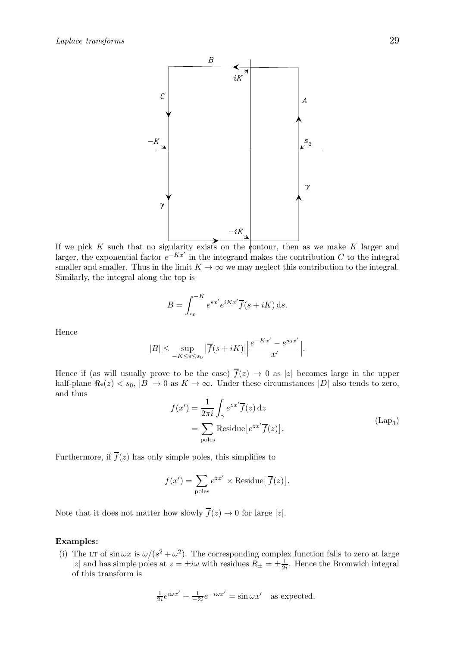

If we pick  $K$  such that no sigularity exists on the contour, then as we make  $K$  larger and larger, the exponential factor  $e^{-Kx'}$  in the integrand makes the contribution C to the integral smaller and smaller. Thus in the limit  $K \to \infty$  we may neglect this contribution to the integral. Similarly, the integral along the top is

$$
B = \int_{s_0}^{-K} e^{sx'} e^{iKx'} \overline{f}(s + iK) \,ds.
$$

Hence

$$
|B| \le \sup_{-K \le s \le s_0} |\overline{f}(s+iK)| \left| \frac{e^{-Kx'} - e^{s_0 x'}}{x'} \right|.
$$

Hence if (as will usually prove to be the case)  $\overline{f}(z) \rightarrow 0$  as |z| becomes large in the upper half-plane  $\Re$ e $(z)$  < s<sub>0</sub>,  $|B|$   $\rightarrow$  0 as  $K \rightarrow \infty$ . Under these circumstances  $|D|$  also tends to zero, and thus

$$
f(x') = \frac{1}{2\pi i} \int_{\gamma} e^{zx'} \overline{f}(z) dz
$$
  
= 
$$
\sum_{\text{poles}} \text{Residue}\left[e^{zx'} \overline{f}(z)\right].
$$
 (Lap<sub>3</sub>)

Furthermore, if  $\overline{f}(z)$  has only simple poles, this simplifies to

$$
f(x') = \sum_{\text{poles}} e^{zx'} \times \text{Residue}[\overline{f}(z)].
$$

Note that it does not matter how slowly  $\overline{f}(z) \to 0$  for large |z|.

## Examples:

(i) The LT of  $\sin \omega x$  is  $\omega/(s^2 + \omega^2)$ . The corresponding complex function falls to zero at large |z| and has simple poles at  $z = \pm i\omega$  with residues  $R_{\pm} = \pm \frac{1}{2i}$ . Hence the Bromwich integral of this transform is

$$
\frac{1}{2i}e^{i\omega x'} + \frac{1}{-2i}e^{-i\omega x'} = \sin \omega x' \text{ as expected.}
$$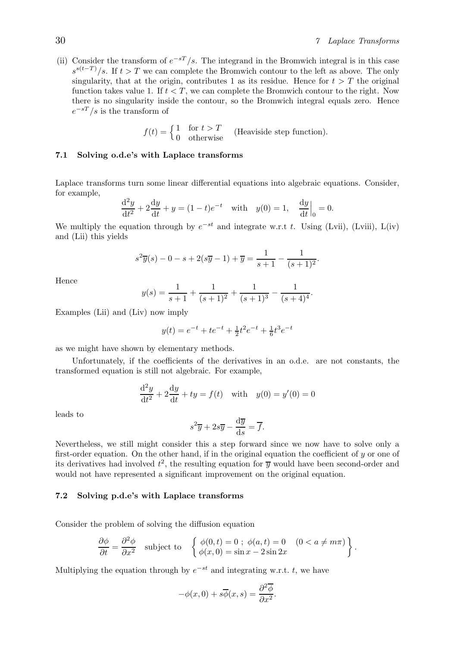(ii) Consider the transform of  $e^{-sT}/s$ . The integrand in the Bromwich integral is in this case  $s^{s(t-T)}/s$ . If  $t > T$  we can complete the Bromwich contour to the left as above. The only singularity, that at the origin, contributes 1 as its residue. Hence for  $t > T$  the original function takes value 1. If  $t < T$ , we can complete the Bromwich contour to the right. Now there is no singularity inside the contour, so the Bromwich integral equals zero. Hence  $e^{-sT}/s$  is the transform of

$$
f(t) = \begin{cases} 1 & \text{for } t > T \\ 0 & \text{otherwise} \end{cases}
$$
 (Heaviside step function).

## 7.1 Solving o.d.e's with Laplace transforms

Laplace transforms turn some linear differential equations into algebraic equations. Consider, for example,

$$
\frac{d^2y}{dt^2} + 2\frac{dy}{dt} + y = (1 - t)e^{-t} \text{ with } y(0) = 1, \frac{dy}{dt}\Big|_{0} = 0.
$$

We multiply the equation through by  $e^{-st}$  and integrate w.r.t t. Using (Lvii), (Lviii), L(iv) and (Lii) this yields

$$
s^{2}\overline{y}(s) - 0 - s + 2(s\overline{y} - 1) + \overline{y} = \frac{1}{s+1} - \frac{1}{(s+1)^{2}}.
$$

Hence

$$
y(s) = \frac{1}{s+1} + \frac{1}{(s+1)^2} + \frac{1}{(s+1)^3} - \frac{1}{(s+4)^4}.
$$

Examples (Lii) and (Liv) now imply

$$
y(t) = e^{-t} + te^{-t} + \frac{1}{2}t^2e^{-t} + \frac{1}{6}t^3e^{-t}
$$

as we might have shown by elementary methods.

Unfortunately, if the coefficients of the derivatives in an o.d.e. are not constants, the transformed equation is still not algebraic. For example,

$$
\frac{d^2y}{dt^2} + 2\frac{dy}{dt} + ty = f(t) \text{ with } y(0) = y'(0) = 0
$$

leads to

$$
s^2 \overline{y} + 2s \overline{y} - \frac{d \overline{y}}{ds} = \overline{f}.
$$

Nevertheless, we still might consider this a step forward since we now have to solve only a first-order equation. On the other hand, if in the original equation the coefficient of  $y$  or one of its derivatives had involved  $t^2$ , the resulting equation for  $\overline{y}$  would have been second-order and would not have represented a significant improvement on the original equation.

## 7.2 Solving p.d.e's with Laplace transforms

Consider the problem of solving the diffusion equation

$$
\frac{\partial \phi}{\partial t} = \frac{\partial^2 \phi}{\partial x^2} \quad \text{subject to} \quad \left\{ \begin{array}{l} \phi(0, t) = 0 \; ; \; \phi(a, t) = 0 \quad (0 < a \neq m\pi) \\ \phi(x, 0) = \sin x - 2\sin 2x \end{array} \right\}.
$$

Multiplying the equation through by  $e^{-st}$  and integrating w.r.t. t, we have

$$
-\phi(x,0) + s\overline{\phi}(x,s) = \frac{\partial^2 \overline{\phi}}{\partial x^2}.
$$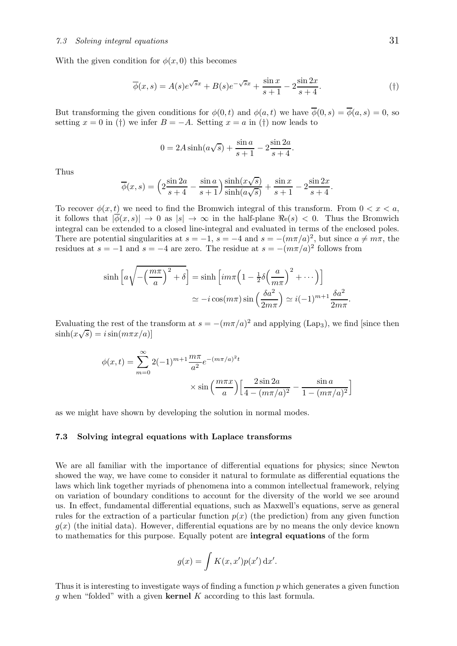With the given condition for  $\phi(x, 0)$  this becomes

$$
\overline{\phi}(x,s) = A(s)e^{\sqrt{s}x} + B(s)e^{-\sqrt{s}x} + \frac{\sin x}{s+1} - 2\frac{\sin 2x}{s+4}.\tag{\dagger}
$$

.

.

But transforming the given conditions for  $\phi(0, t)$  and  $\phi(a, t)$  we have  $\overline{\phi}(0, s) = \overline{\phi}(a, s) = 0$ , so setting  $x = 0$  in (†) we infer  $B = -A$ . Setting  $x = a$  in (†) now leads to

$$
0 = 2A\sinh(a\sqrt{s}) + \frac{\sin a}{s+1} - 2\frac{\sin 2a}{s+4}
$$

Thus

$$
\overline{\phi}(x,s) = \left(2\frac{\sin 2a}{s+4} - \frac{\sin a}{s+1}\right) \frac{\sinh(x\sqrt{s})}{\sinh(a\sqrt{s})} + \frac{\sin x}{s+1} - 2\frac{\sin 2x}{s+4}.
$$

To recover  $\phi(x, t)$  we need to find the Bromwich integral of this transform. From  $0 < x < a$ , it follows that  $|\overline{\phi}(x, s)| \to 0$  as  $|s| \to \infty$  in the half-plane  $\Re(s) < 0$ . Thus the Bromwich integral can be extended to a closed line-integral and evaluated in terms of the enclosed poles. There are potential singularities at  $s = -1$ ,  $s = -4$  and  $s = -(m\pi/a)^2$ , but since  $a \neq m\pi$ , the residues at  $s = -1$  and  $s = -4$  are zero. The residue at  $s = -(m\pi/a)^2$  follows from

$$
\sinh\left[a\sqrt{-\left(\frac{m\pi}{a}\right)^2 + \delta}\right] = \sinh\left[i m\pi \left(1 - \frac{1}{2}\delta\left(\frac{a}{m\pi}\right)^2 + \cdots\right)\right]
$$

$$
\simeq -i\cos(m\pi)\sin\left(\frac{\delta a^2}{2m\pi}\right) \simeq i(-1)^{m+1}\frac{\delta a^2}{2m\pi}
$$

Evaluating the rest of the transform at  $s = -(m\pi/a)^2$  and applying (Lap<sub>3</sub>), we find [since then  $\sinh(x\sqrt{s}) = i\sin(m\pi x/a)$ 

$$
\phi(x,t) = \sum_{m=0}^{\infty} 2(-1)^{m+1} \frac{m\pi}{a^2} e^{-(m\pi/a)^2 t} \times \sin\left(\frac{m\pi x}{a}\right) \left[\frac{2\sin 2a}{4 - (m\pi/a)^2} - \frac{\sin a}{1 - (m\pi/a)^2}\right]
$$

as we might have shown by developing the solution in normal modes.

#### 7.3 Solving integral equations with Laplace transforms

We are all familiar with the importance of differential equations for physics; since Newton showed the way, we have come to consider it natural to formulate as differential equations the laws which link together myriads of phenomena into a common intellectual framework, relying on variation of boundary conditions to account for the diversity of the world we see around us. In effect, fundamental differential equations, such as Maxwell's equations, serve as general rules for the extraction of a particular function  $p(x)$  (the prediction) from any given function  $g(x)$  (the initial data). However, differential equations are by no means the only device known to mathematics for this purpose. Equally potent are integral equations of the form

$$
g(x) = \int K(x, x')p(x') dx'.
$$

Thus it is interesting to investigate ways of finding a function p which generates a given function g when "folded" with a given kernel  $K$  according to this last formula.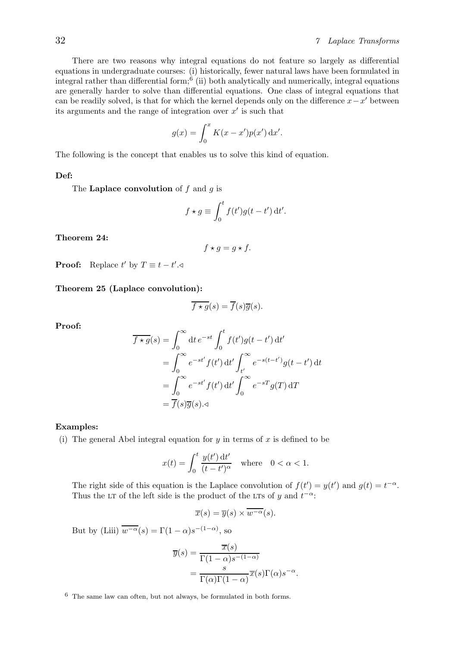There are two reasons why integral equations do not feature so largely as differential equations in undergraduate courses: (i) historically, fewer natural laws have been formulated in integral rather than differential form;<sup>6</sup> (ii) both analytically and numerically, integral equations are generally harder to solve than differential equations. One class of integral equations that can be readily solved, is that for which the kernel depends only on the difference  $x-x'$  between its arguments and the range of integration over  $x'$  is such that

$$
g(x) = \int_0^x K(x - x')p(x') dx'.
$$

The following is the concept that enables us to solve this kind of equation.

## Def:

The Laplace convolution of  $f$  and  $g$  is

$$
f \star g \equiv \int_0^t f(t')g(t-t') dt'.
$$

Theorem 24:

$$
f \star g = g \star f.
$$

**Proof:** Replace  $t'$  by  $T \equiv t - t'$ .

Theorem 25 (Laplace convolution):

$$
\overline{f \star g}(s) = \overline{f}(s)\overline{g}(s).
$$

Proof:

$$
\overline{f \star g}(s) = \int_0^\infty dt \, e^{-st} \int_0^t f(t')g(t-t') \, dt'
$$
  
= 
$$
\int_0^\infty e^{-st'} f(t') \, dt' \int_{t'}^\infty e^{-s(t-t')} g(t-t') \, dt
$$
  
= 
$$
\int_0^\infty e^{-st'} f(t') \, dt' \int_0^\infty e^{-sT} g(T) \, dT
$$
  
= 
$$
\overline{f}(s)\overline{g}(s). \triangleleft
$$

## Examples:

(i) The general Abel integral equation for  $y$  in terms of  $x$  is defined to be

$$
x(t) = \int_0^t \frac{y(t') dt'}{(t - t')^{\alpha}} \quad \text{where} \quad 0 < \alpha < 1.
$$

The right side of this equation is the Laplace convolution of  $f(t') = y(t')$  and  $g(t) = t^{-\alpha}$ . Thus the LT of the left side is the product of the LTs of y and  $t^{-\alpha}$ .

$$
\overline{x}(s) = \overline{y}(s) \times \overline{w^{-\alpha}}(s).
$$

But by (Liii)  $\overline{w^{-\alpha}}(s) = \Gamma(1-\alpha)s^{-(1-\alpha)}$ , so

$$
\overline{y}(s) = \frac{\overline{x}(s)}{\Gamma(1-\alpha)s^{-(1-\alpha)}}
$$

$$
= \frac{s}{\Gamma(\alpha)\Gamma(1-\alpha)} \overline{x}(s)\Gamma(\alpha)s^{-\alpha}.
$$

 $6$  The same law can often, but not always, be formulated in both forms.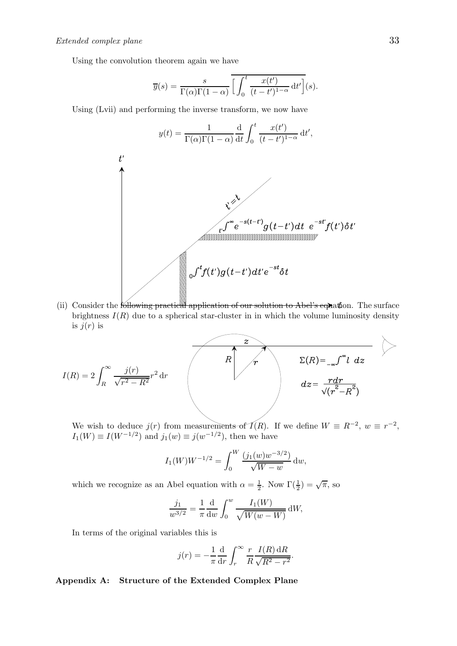Using the convolution theorem again we have

$$
\overline{y}(s) = \frac{s}{\Gamma(\alpha)\Gamma(1-\alpha)} \overline{\left[\int_0^t \frac{x(t')}{(t-t')^{1-\alpha}} dt'\right]}(s).
$$

Using (Lvii) and performing the inverse transform, we now have

$$
y(t) = \frac{1}{\Gamma(\alpha)\Gamma(1-\alpha)} \frac{d}{dt} \int_0^t \frac{x(t')}{(t-t')^{1-\alpha}} dt',
$$
  
  

$$
\sqrt[n]{\sum_{t=0}^{N} e^{-s(t-t')} g(t-t') dt} e^{-st'} f(t') \delta t'
$$

(ii) Consider the following practical application of our solution to Abel's equation. The surface brightness  $I(R)$  due to a spherical star-cluster in in which the volume luminosity density is  $j(r)$  is

$$
I(R) = 2 \int_{R}^{\infty} \frac{j(r)}{\sqrt{r^2 - R^2}} r^2 dr
$$

We wish to deduce  $j(r)$  from measurements of  $\mathcal{I}(R)$ . If we define  $W \equiv R^{-2}$ ,  $w \equiv r^{-2}$ ,  $I_1(W) \equiv I(W^{-1/2})$  and  $j_1(w) \equiv j(w^{-1/2})$ , then we have

$$
I_1(W)W^{-1/2} = \int_0^W \frac{(j_1(w)w^{-3/2})}{\sqrt{W-w}} dw,
$$

which we recognize as an Abel equation with  $\alpha = \frac{1}{2}$  $\frac{1}{2}$ . Now  $\Gamma(\frac{1}{2}) = \sqrt{\pi}$ , so

$$
\frac{j_1}{w^{3/2}} = \frac{1}{\pi} \frac{d}{dw} \int_0^w \frac{I_1(W)}{\sqrt{W(w-W)}} dW,
$$

In terms of the original variables this is

$$
j(r) = -\frac{1}{\pi} \frac{d}{dr} \int_r^{\infty} \frac{r}{R} \frac{I(R) dR}{\sqrt{R^2 - r^2}}.
$$

Appendix A: Structure of the Extended Complex Plane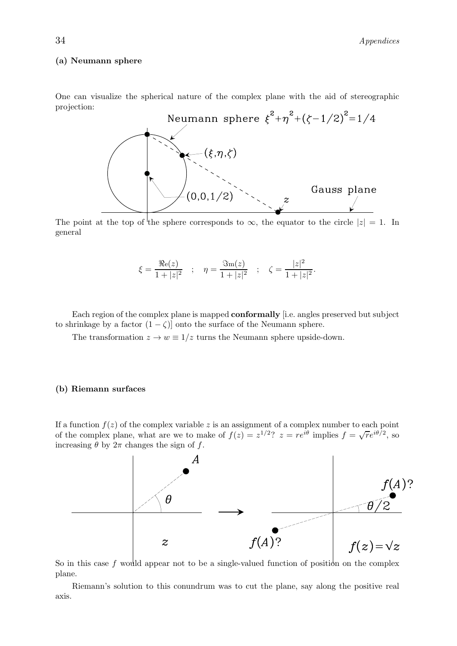## (a) Neumann sphere

One can visualize the spherical nature of the complex plane with the aid of stereographic projection:



The point at the top of the sphere corresponds to  $\infty$ , the equator to the circle  $|z| = 1$ . In general

$$
\xi = \frac{\Re e(z)}{1+|z|^2}
$$
;  $\eta = \frac{\Im m(z)}{1+|z|^2}$ ;  $\zeta = \frac{|z|^2}{1+|z|^2}$ .

Each region of the complex plane is mapped conformally [i.e. angles preserved but subject to shrinkage by a factor  $(1 - \zeta)$  onto the surface of the Neumann sphere.

The transformation  $z \to w \equiv 1/z$  turns the Neumann sphere upside-down.

## (b) Riemann surfaces

If a function  $f(z)$  of the complex variable z is an assignment of a complex number to each point of the complex plane, what are we to make of  $f(z) = z^{1/2}$ ?  $z = re^{i\theta}$  implies  $f = \sqrt{r}e^{i\theta/2}$ , so increasing  $\theta$  by  $2\pi$  changes the sign of f.



So in this case  $f$  would appear not to be a single-valued function of position on the complex plane.

Riemann's solution to this conundrum was to cut the plane, say along the positive real axis.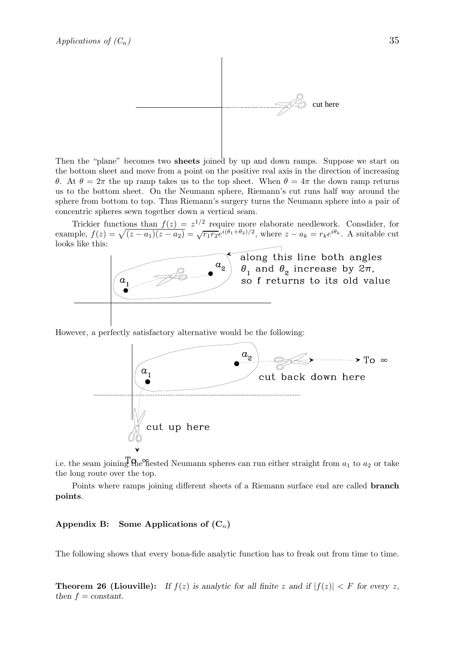

Then the "plane" becomes two sheets joined by up and down ramps. Suppose we start on the bottom sheet and move from a point on the positive real axis in the direction of increasing θ. At  $θ = 2π$  the up ramp takes us to the top sheet. When  $θ = 4π$  the down ramp returns us to the bottom sheet. On the Neumann sphere, Riemann's cut runs half way around the sphere from bottom to top. Thus Riemann's surgery turns the Neumann sphere into a pair of concentric spheres sewn together down a vertical seam.

Trickier functions than  $f(z) = z^{1/2}$  require more elaborate needlework. Consdider, for example,  $f(z) = \sqrt{(z-a_1)(z-a_2)} = \sqrt{r_1r_2}e^{i(\theta_1+\theta_2)/2}$ , where  $z-a_k = r_k e^{i\theta_k}$ . A suitable cut looks like this:



However, a perfectly satisfactory alternative would be the following:



i.e. the seam joining  $\theta$  ne nested Neumann spheres can run either straight from  $a_1$  to  $a_2$  or take the long route over the top.

Points where ramps joining different sheets of a Riemann surface end are called branch points.

## Appendix B: Some Applications of  $(C_n)$

The following shows that every bona-fide analytic function has to freak out from time to time.

**Theorem 26 (Liouville):** If  $f(z)$  is analytic for all finite z and if  $|f(z)| < F$  for every z, then  $f = constant$ .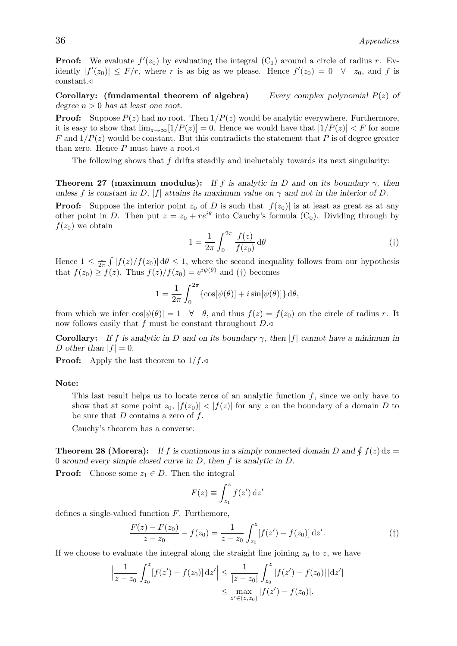**Proof:** We evaluate  $f'(z_0)$  by evaluating the integral  $(C_1)$  around a circle of radius r. Evidently  $|f'(z_0)| \leq F/r$ , where r is as big as we please. Hence  $f'(z_0) = 0 \quad \forall \quad z_0$ , and f is constant.⊳

Corollary: (fundamental theorem of algebra) Every complex polynomial  $P(z)$  of degree  $n > 0$  has at least one root.

**Proof:** Suppose  $P(z)$  had no root. Then  $1/P(z)$  would be analytic everywhere. Furthermore, it is easy to show that  $\lim_{z\to\infty} [1/P(z)] = 0$ . Hence we would have that  $|1/P(z)| < F$  for some F and  $1/P(z)$  would be constant. But this contradicts the statement that P is of degree greater than zero. Hence P must have a root. $\triangleleft$ 

The following shows that  $f$  drifts steadily and ineluctably towards its next singularity:

**Theorem 27 (maximum modulus):** If f is analytic in D and on its boundary  $\gamma$ , then unless f is constant in D, |f| attains its maximum value on  $\gamma$  and not in the interior of D.

**Proof:** Suppose the interior point  $z_0$  of D is such that  $|f(z_0)|$  is at least as great as at any other point in D. Then put  $z = z_0 + re^{i\theta}$  into Cauchy's formula (C<sub>0</sub>). Dividing through by  $f(z_0)$  we obtain

$$
1 = \frac{1}{2\pi} \int_0^{2\pi} \frac{f(z)}{f(z_0)} d\theta \tag{\dagger}
$$

Hence  $1 \leq \frac{1}{2n}$  $\frac{1}{2\pi} \int |f(z)/f(z_0)| d\theta \leq 1$ , where the second inequality follows from our hypothesis that  $f(z_0) \ge f(z)$ . Thus  $f(z)/f(z_0) = e^{i\psi(\theta)}$  and (†) becomes

$$
1 = \frac{1}{2\pi} \int_0^{2\pi} {\cos[\psi(\theta)] + i \sin[\psi(\theta)] } d\theta,
$$

from which we infer  $\cos[\psi(\theta)] = 1 \quad \forall \quad \theta$ , and thus  $f(z) = f(z_0)$  on the circle of radius r. It now follows easily that f must be constant throughout  $D.\triangleleft$ 

**Corollary:** If f is analytic in D and on its boundary  $\gamma$ , then |f| cannot have a minimum in D other than  $|f| = 0$ .

**Proof:** Apply the last theorem to  $1/f.\triangleleft$ 

## Note:

This last result helps us to locate zeros of an analytic function  $f$ , since we only have to show that at some point  $z_0$ ,  $|f(z_0)| < |f(z)|$  for any z on the boundary of a domain D to be sure that  $D$  contains a zero of  $f$ .

Cauchy's theorem has a converse:

**Theorem 28 (Morera):** If f is continuous in a simply connected domain D and  $\oint f(z) dz =$ 0 around every simple closed curve in D, then f is analytic in D.

**Proof:** Choose some  $z_1 \in D$ . Then the integral

$$
F(z) \equiv \int_{z_1}^{z} f(z') \,\mathrm{d}z'
$$

defines a single-valued function F. Furthemore,

$$
\frac{F(z) - F(z_0)}{z - z_0} - f(z_0) = \frac{1}{z - z_0} \int_{z_0}^{z} [f(z') - f(z_0)] dz'.
$$
 (†)

|

If we choose to evaluate the integral along the straight line joining  $z_0$  to z, we have

$$
\left|\frac{1}{z-z_0}\int_{z_0}^z [f(z') - f(z_0)] \,dz'\right| \le \frac{1}{|z-z_0|}\int_{z_0}^z |f(z') - f(z_0)| \,dz'\le \max_{z' \in (z,z_0)} |f(z') - f(z_0)|.
$$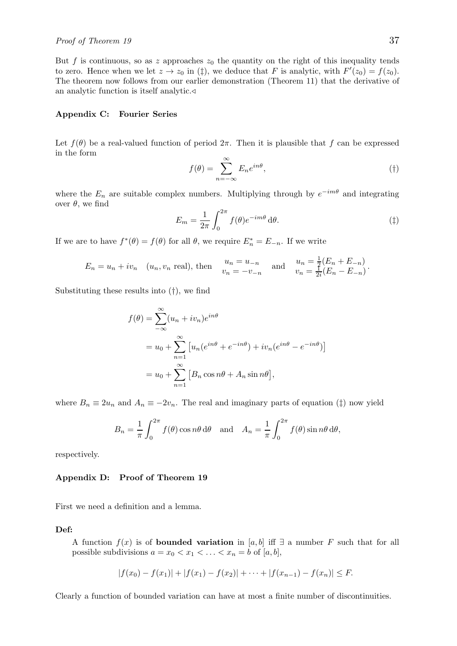But f is continuous, so as z approaches  $z_0$  the quantity on the right of this inequality tends to zero. Hence when we let  $z \to z_0$  in ( $\ddagger$ ), we deduce that F is analytic, with  $F'(z_0) = f(z_0)$ . The theorem now follows from our earlier demonstration (Theorem 11) that the derivative of an analytic function is itself analytic.

## Appendix C: Fourier Series

Let  $f(\theta)$  be a real-valued function of period  $2\pi$ . Then it is plausible that f can be expressed in the form

$$
f(\theta) = \sum_{n = -\infty}^{\infty} E_n e^{in\theta},
$$
 (†)

where the  $E_n$  are suitable complex numbers. Multiplying through by  $e^{-im\theta}$  and integrating over  $θ$ , we find

$$
E_m = \frac{1}{2\pi} \int_0^{2\pi} f(\theta) e^{-im\theta} d\theta.
$$
 (†)

If we are to have  $f^*(\theta) = f(\theta)$  for all  $\theta$ , we require  $E_n^* = E_{-n}$ . If we write

$$
E_n = u_n + iv_n
$$
 (*u<sub>n</sub>*, *v<sub>n</sub>* real), then  $\begin{array}{cc} u_n = u_{-n} & \text{and} & u_n = \frac{1}{2}(E_n + E_{-n}) \\ v_n = -v_{-n} & \text{and} & v_n = \frac{1}{2i}(E_n - E_{-n}) \end{array}$ 

Substituting these results into (†), we find

$$
f(\theta) = \sum_{-\infty}^{\infty} (u_n + iv_n)e^{in\theta}
$$
  
=  $u_0 + \sum_{n=1}^{\infty} [u_n(e^{in\theta} + e^{-in\theta}) + iv_n(e^{in\theta} - e^{-in\theta})]$   
=  $u_0 + \sum_{n=1}^{\infty} [B_n \cos n\theta + A_n \sin n\theta],$ 

where  $B_n \equiv 2u_n$  and  $A_n \equiv -2v_n$ . The real and imaginary parts of equation (†) now yield

$$
B_n = \frac{1}{\pi} \int_0^{2\pi} f(\theta) \cos n\theta \, d\theta \quad \text{and} \quad A_n = \frac{1}{\pi} \int_0^{2\pi} f(\theta) \sin n\theta \, d\theta,
$$

respectively.

#### Appendix D: Proof of Theorem 19

First we need a definition and a lemma.

## Def:

A function  $f(x)$  is of **bounded variation** in [a, b] iff  $\exists$  a number F such that for all possible subdivisions  $a = x_0 < x_1 < \ldots < x_n = b$  of  $[a, b]$ ,

$$
|f(x_0)-f(x_1)|+|f(x_1)-f(x_2)|+\cdots+|f(x_{n-1})-f(x_n)|\leq F.
$$

Clearly a function of bounded variation can have at most a finite number of discontinuities.

.